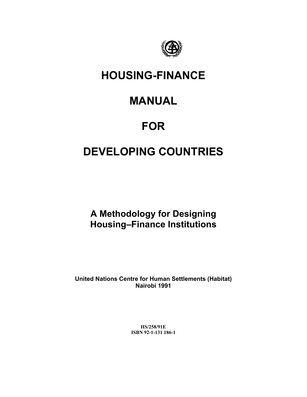

# **HOUSING-FINANCE**

# **MANUAL**

# **FOR**

# **DEVELOPING COUNTRIES**

**A Methodology for Designing Housing–Finance Institutions**

**United Nations Centre for Human Settlements (Habitat) Nairobi 1991**

> **HS/258/91E ISBN 92-1-131 186-1**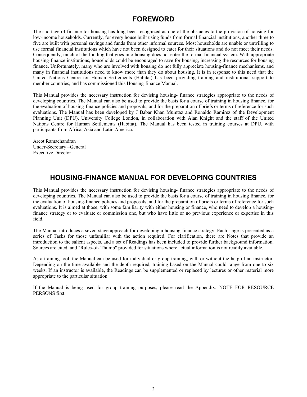# **FOREWORD**

The shortage of finance for housing has long been recognized as one of the obstacles to the provision of housing for low-income households. Currently, for every house built using funds from formal financial institutions, another three to five are built with personal savings and funds from other informal sources. Most households are unable or unwilling to use formal financial institutions which have not been designed to cater for their situations and do not meet their needs. Consequently, much of the funding that goes into housing does not enter the formal financial system. With appropriate housing-finance institutions, households could be encouraged to save for housing, increasing the resources for housing finance. Unfortunately, many who are involved with housing do not fully appreciate housing-finance mechanisms, and many in financial institutions need to know more than they do about housing. It is in response to this need that the United Nations Centre for Human Settlements (Habitat) has been providing training and institutional support to member countries, and has commissioned this Housing-finance Manual.

This Manual provides the necessary instruction for devising housing- finance strategies appropriate to the needs of developing countries. The Manual can also be used to provide the basis for a course of training in housing finance, for the evaluation of housing-finance policies and proposals, and for the preparation of briefs or terms of reference for such evaluations. The Manual has been developed by J Babar Khan Mumtaz and Ronaldo Ramirez of the Development Planning Unit (DPU), University College London, in collaboration with Alan Knight and the staff of the United Nations Centre for Human Settlements (Habitat). The Manual has been tested in training courses at DPU, with participants from Africa, Asia and Latin America.

Arcot Ramachandran Under-Secretary –General Executive Director

# **HOUSING-FINANCE MANUAL FOR DEVELOPING COUNTRIES**

This Manual provides the necessary instruction for devising housing- finance strategies appropriate to the needs of developing countries. The Manual can also be used to provide the basis for a course of training in housing finance, for the evaluation of housing-finance policies and proposals, and for the preparation of briefs or terms of reference for such evaluations. It is aimed at those, with some familiarity with either housing or finance, who need to develop a housingfinance strategy or to evaluate or commission one, but who have little or no previous experience or expertise in this field.

The Manual introduces a seven-stage approach for developing a housing-finance strategy. Each stage is presented as a series of Tasks for those unfamiliar with the action required. For clarification, there are Notes that provide an introduction to the salient aspects, and a set of Readings has been included to provide further background information. Sources are cited, and "Rules-of- Thumb" provided for situations where actual information is not readily available.

As a training tool, the Manual can be used for individual or group training, with or without the help of an instructor. Depending on the time available and the depth required, training based on the Manual could range from one to six weeks. If an instructor is available, the Readings can be supplemented or replaced by lectures or other material more appropriate to the particular situation.

If the Manual is being used for group training purposes, please read the Appendix: NOTE FOR RESOURCE PERSONS first.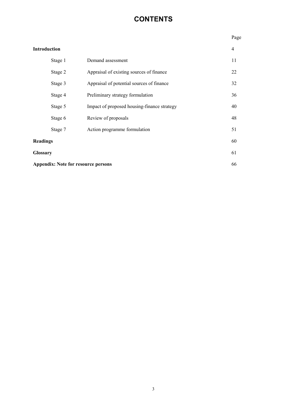# **CONTENTS**

| ۰,<br>۰,<br>×<br>×<br>۰. |
|--------------------------|
|--------------------------|

| <b>Introduction</b>                        |                                             | 4  |
|--------------------------------------------|---------------------------------------------|----|
| Stage 1                                    | Demand assessment                           | 11 |
| Stage 2                                    | Appraisal of existing sources of finance    | 22 |
| Stage 3                                    | Appraisal of potential sources of finance   | 32 |
| Stage 4                                    | Preliminary strategy formulation            | 36 |
| Stage 5                                    | Impact of proposed housing-finance strategy | 40 |
| Stage 6                                    | Review of proposals                         | 48 |
| Stage 7                                    | Action programme formulation                | 51 |
| <b>Readings</b>                            |                                             | 60 |
| <b>Glossary</b>                            |                                             | 61 |
| <b>Appendix: Note for resource persons</b> |                                             | 66 |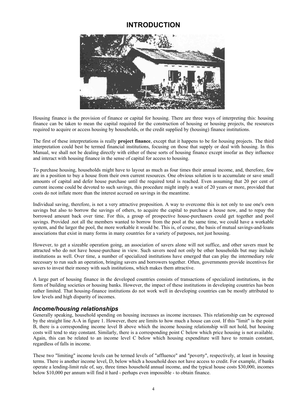# **INTRODUCTION**



Housing finance is the provision of finance or capital for housing. There are three ways of interpreting this: housing finance can be taken to mean the capital required for the construction of housing or housing projects, the resources required to acquire or access housing by households, or the credit supplied by (housing) finance institutions.

The first of these interpretations is really **project finance**, except that it happens to be for housing projects. The third interpretation could best be termed financial institutions, focusing on those that supply or deal with housing. In this Manual, we shall not be dealing directly with either of these sorts of housing finance except insofar as they influence and interact with housing finance in the sense of capital for access to housing.

To purchase housing, households might have to layout as much as four times their annual income, and, therefore, few are in a position to buy a house from their own current resources. One obvious solution is to accumulate or save small amounts of capital and defer house purchase until the required total is reached. Even assuming that 20 per cent of current income could be devoted to such savings, this procedure might imply a wait of 20 years or more, provided that costs do not inflate more than the interest accrued on savings in the meantime.

Individual saving, therefore, is not a very attractive proposition. A way to overcome this is not only to use one's own savings but also to borrow the savings of others, to acquire the capital to purchase a house now, and to repay the borrowed amount back over time. For this, a group of prospective house-purchasers could get together and pool savings. Provided .not all the members wanted to borrow from the pool at the same time, we could have a workable system, and the larger the pool, the more workable it would be. This is, of course, the basis of mutual savings-and-loans associations that exist in many forms in many countries for a variety of purposes, not just housing.

However, to get a sizeable operation going, an association of savers alone will not suffice, and other savers must be attracted who do not have house-purchase in view. Such savers need not only be other households but may include institutions as well. Over time, a number of specialized institutions have emerged that can play the intermediary role necessary to run such an operation, bringing savers and borrowers together. Often, governments provide incentives for savers to invest their money with such institutions, which makes them attractive.

A large part of housing finance in the developed countries consists of transactions of specialized institutions, in the form of building societies or housing banks. However, the impact of these institutions in developing countries has been rather limited. That housing-finance institutions do not work well in developing countries can be mostly attributed to low levels and high disparity of incomes.

# *Income/housing relationships*

Generally speaking, household spending on housing increases as income increases. This relationship can be expressed by the straight line A-A in figure 1. However, there are limits to how much a house can cost. If this "limit" is the point B, there is a corresponding income level B above which the income housing relationship will not hold, but housing costs will tend to stay constant. Similarly, there is a corresponding point C below which price housing is not available. Again, this can be related to an income level C below which housing expenditure will have to remain constant, regardless of falls in income.

These two "limiting" income levels can be termed levels of "affluence" and "poverty", respectively, at least in housing terms. There is another income level, D, below which a household does not have access to credit. For example, if banks operate a lending-limit rule of, say, three times household annual income, and the typical house costs \$30,000, incomes below \$10,000 per annum will find it hard - perhaps even impossible - to obtain finance.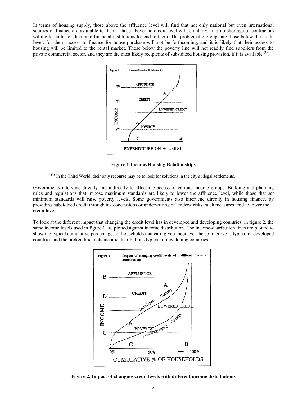In terms of housing supply, those above the affluence level will find that not only national but even international sources of finance are available to them. Those above the credit level will, similarly, find no shortage of contractors willing to build for them and financial institutions to lend to them. The problematic groups are those below the credit level: for them, access to finance for house-purchase will not be forthcoming, and it is likely that their access to housing will be limited to the rental market. Those below the poverty line will not readily find suppliers from the private commercial sector, and they are the most likely recipients of subsidized housing provision, if it is available **(1)**.



**Figure 1 Income/Housing Relationships**

**(1)** In the Third World, their only recourse may be to look for solutions in the city's illegal settlements.

Governments intervene directly and indirectly to affect the access of various income groups. Building and planning rules and regulations that impose maximum standards are likely to lower the affluence level, while those that set minimum standards will raise poverty levels. Some governments also intervene directly in housing finance, by providing subsidized credit through tax concessions or underwriting of lenders' risks: such measures tend to lower the credit level.

To look at the different impact that changing the credit level has in developed and developing countries, in figure 2, the same income levels used in figure 1 are plotted against income distribution. The income-distribution lines are plotted to show the typical cumulative percentages of households that earn given incomes. The solid curve is typical of developed countries and the broken line plots income distributions typical of developing countries.



**Figure 2. Impact of changing credit levels with different income distributions**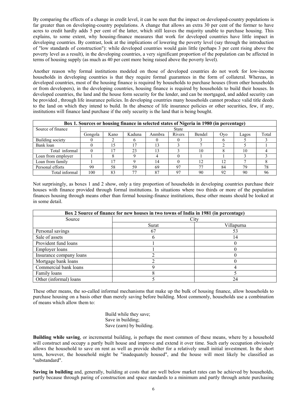By comparing the effects of a change in credit level, it can be seen that the impact on developed-country populations is far greater than on developing-country populations. A change that allows an extra 30 per cent of the former to have acres to credit hardly adds 5 per cent of the latter, which still leaves the majority unable to purchase housing. This explains, to some extent, why housing-finance measures that work for developed countries have little impact in developing countries. By contrast, look at the implications of lowering the poverty level (say through the introduction of "low standards of construction"): while developed countries would gain little (perhaps 3 per cent rising above the poverty level as a result), in the developing countries, a very significant proportion of the population can be affected in terms of housing supply (as much as 40 per cent more being raised above the poverty level).

Another reason why formal institutions modeled on those of developed countries do not work for low-income households in developing countries is that they require formal guarantees in the form of collateral. Whereas, in developed countries, most of the housing finance is required by households to purchase houses (from other households or from developers), in the developing countries, housing finance is required by households to build their houses. In developed countries, the land and the house form security for the lender, and can be mortgaged, and added security can be provided , through life insurance policies. In developing countries many households cannot produce valid title deeds to the land on which they intend to build. In the absence of life insurance policies or other securities, few, if any, institutions will finance land purchase if the only security is the land that is being bought.

|                    |         |      |        |        |                | Box 1. Sources or housing finance in selected states of Nigeria in 1980 (in percentage) |            |       |       |
|--------------------|---------|------|--------|--------|----------------|-----------------------------------------------------------------------------------------|------------|-------|-------|
| Source of finance  |         |      |        |        | <b>State</b>   |                                                                                         |            |       |       |
|                    | Gongola | Kano | Kaduna | Anmbra | Rivers         | <b>Bendel</b>                                                                           | <b>Ovo</b> | Lagos | Total |
| Building society   |         |      |        |        |                |                                                                                         |            |       |       |
| Bank loan          |         |      |        | 13     |                |                                                                                         |            |       |       |
| Total informal     |         |      | 23     | 13     |                | 10                                                                                      |            | 10    |       |
| Loan from employer |         |      |        |        |                |                                                                                         |            |       |       |
| Loan from family   |         |      |        | 14     |                | 12                                                                                      | 12         |       |       |
| Personal efforts   | 99      | 58   | 59     | 69     | Q <sub>7</sub> | 77                                                                                      | 84         | 79    | 78    |
| Total informal     | 100     | 83   |        | 87     |                | 90                                                                                      | 92         | 90    | 96    |

Not surprisingly, as boxes 1 and 2 show, only a tiny proportion of households in developing countries purchase their houses with finance provided through formal institutions. In situations where two thirds or more of the population finances housing through means other than formal housing-finance institutions, these other means should be looked at in some detail.

|                         | Box 2 Source of finance for new houses in two towns of India in 1981 (in percentage) |            |
|-------------------------|--------------------------------------------------------------------------------------|------------|
| Source                  |                                                                                      | City       |
|                         | Surat                                                                                | Villapurna |
| Personal savings        | 67                                                                                   | 53         |
| Sale of assets          |                                                                                      | 14         |
| Provident fund loans    |                                                                                      |            |
| Employer loans          |                                                                                      |            |
| Insurance company loans |                                                                                      |            |
| Mortgage bank loans     |                                                                                      |            |
| Commercial bank loans   |                                                                                      |            |
| Family loans            |                                                                                      |            |
| Other (informal) loans  |                                                                                      | 24         |

These other means, the so-called informal mechanisms that make up the bulk of housing finance, allow households to purchase housing on a basis other than merely saving before building. Most commonly, households use a combination of means which allow them to:

> Build while they save; Save in building; Save (earn) by building.

**Building while saving**, or incremental building, is perhaps the most common of these means, where by a household will construct and occupy a partly built house and improve and extend it over time. Such early occupation obviously allows the household to save on rent as well as provide shelter for a relatively small initial investment. In the short term, however, the household might be "inadequately housed", and the house will most likely be classified as "substandard".

**Saving in building** and, generally, building at costs that are well below market rates can be achieved by households, partly because through paring of construction and space standards to a minimum and partly through astute purchasing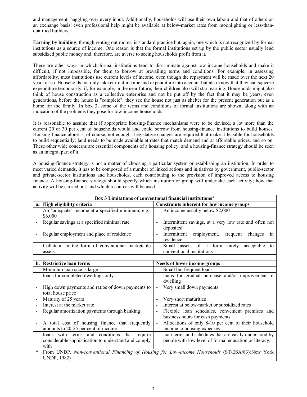and management, haggling over every input. Additionally, households will use their own labour and that of others on an exchange basis; even professional help might be available at below-market rates from moonlighting or less-thanqualified builders.

**Earning by building**, through renting out rooms, is standard practice but, again, one which is not recognized by formal institutions as a source of income. One reason is that the formal institutions set up by the public sector usually lend subsidized public money and, therefore, are averse to seeing households profit from it.

There are other ways in which formal institutions tend to discriminate against low-income households and make it difficult, if not impossible, for them to borrow at prevailing terms and conditions. For example, in assessing affordability, most institutions use current levels of income, even though the repayment will be made over the next 20 years or so. Households not only take current income and expenditure into account but also know that they can squeeze expenditure temporarily, if, for example, in the near future, their children also will start earning. Households might also think of house construction as a collective enterprise and not be put off by the fact that it may be years, even generations, before the house is "complete": they see the house not just as shelter for the present generation but as a home for the family. In box 3, some of the terms and conditions of formal institutions are shown, along with an indication of the problems they pose for low-income households.

It is reasonable to assume that if appropriate housing-finance mechanisms were to be devised, a lot more than the current 20 or 30 per cent of households would and could borrow from housing-finance institutions to build houses. Housing finance alone is, of course, not enough. Legislative changes are required that make it feasible for households to build sequentially; land needs to be made available at rates that match demand and at affordable prices, and so on. These other wide concerns are essential components of a housing policy, and a housing-finance strategy should be seen as an integral part of it.

A housing-finance strategy is not a matter of choosing a particular system or establishing an institution. In order to meet varied demands, it has to be composed of a number of linked actions and initiatives by government, public-sector and private-sector institutions and households, each contributing to the provision of improved access to housing finance. A housing-finance strategy should specify which institution or group will undertake each activity; how that activity will be carried out; and which resources will be used.

|                          |                                                                                                                 | Box 3 Limitations of conventional financial institutions*                                                                          |
|--------------------------|-----------------------------------------------------------------------------------------------------------------|------------------------------------------------------------------------------------------------------------------------------------|
| a.                       | High eligibility criteria                                                                                       | Constraints inherent for low income groups                                                                                         |
|                          | An "adequate" income at a specified minimum, e.g.,<br>\$6,000                                                   | An income usually below \$2,000                                                                                                    |
|                          | Regular savings at a specified minimal rate                                                                     | Intermittent savings, at a very low rate and often not<br>deposited                                                                |
|                          | Regular employment and place of residence                                                                       | in<br>Intermittent<br>employment,<br>frequent<br>changes<br>$\blacksquare$<br>residence                                            |
|                          | Collateral in the form of conventional marketable<br>assets                                                     | Small assets of a form rarely acceptable<br>$\blacksquare$<br>to<br>conventional institutions                                      |
|                          | b. Restrictive loan terms                                                                                       | Needs of lower income groups                                                                                                       |
|                          | Minimum loan size is large                                                                                      | Small but frequent loans                                                                                                           |
|                          | loans for completed dwellings only                                                                              | loans for gradual purchase and/or improvement of<br>dwelling                                                                       |
| $\overline{a}$           | High down payments and ratios of down payments to<br>total house price                                          | Very small down payments<br>$\blacksquare$                                                                                         |
|                          | Maturity of 25 years                                                                                            | Very short maturities                                                                                                              |
|                          | Interest at the market rate                                                                                     | Interest at below-market or subsidized rates<br>$\mathbf{r}$                                                                       |
|                          | Regular amortization payments through banking                                                                   | Flexible loan schedules, convenient premises and<br>business hours for cash payments                                               |
| $\overline{\phantom{m}}$ | A total cost of housing finance that frequently<br>amounts to 20-25 per cent of income                          | Allocations of only 8-10 per cent of their household<br>$\overline{\phantom{a}}$<br>income to housing expenses                     |
|                          | loans with terms and conditions<br>that require<br>considerable sophistication to understand and comply<br>with | loan terms and schedules that are easily understood by<br>$\blacksquare$<br>people with low level of formal education or literacy. |
| $\ast$                   | UNDP, 1982)                                                                                                     | From UNDP, Non-conventional Financing of Housing for Low-income Households (ST/ESA/83)(New York                                    |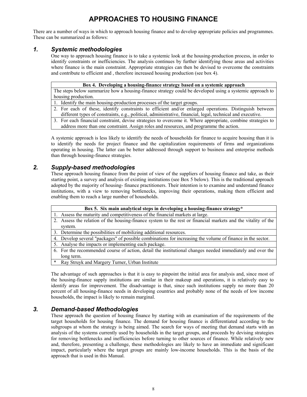# **APPROACHES TO HOUSING FINANCE**

There are a number of ways in which to approach housing finance and to develop appropriate policies and programmes. These can be summarized as follows:

# *1. Systemic methodologies*

One way to approach housing finance is to take a systemic look at the housing-production process, in order to identify constraints or inefficiencies. The analysis continues by further identifying those areas and activities where finance is the main constraint. Appropriate strategies can then be devised to overcome the constraints and contribute to efficient and , therefore increased housing production (see box 4).

#### **Box 4. Developing a housing-finance strategy based on a systemic approach**

The steps below summarize how a housing-finance strategy could be developed using a systemic approach to housing production.

- 1. Identify the main housing-production processes of the target groups.
- 2. For each of these, identify constraints to efficient and/or enlarged operations. Distinguish between different types of constraints, e.g., political, administrative, financial, legal, technical and executive.
- 3. For each financial constraint, devise strategies to overcome it. Where appropriate, combine strategies to address more than one constraint. Assign roles and resources, and programme the action.

A systemic approach is less likely to identify the needs of households for finance to acquire housing than it is to identify the needs for project finance and the capitalization requirements of firms and organizations operating in housing. The latter can be better addressed through support to business and enterprise methods than through housing-finance strategies.

# *2. Supply-based methodologies*

These approach housing finance from the point of view of the suppliers of housing finance and take, as their starting point, a survey and analysis of existing institutions (see Box 5 below). This is the traditional approach adopted by the majority of housing- finance practitioners. Their intention is to examine and understand finance institutions, with a view to removing bottlenecks, improving their operations, making them efficient and enabling them to reach a large number of households.

|        | Box 5. Six main analytical steps in developing a housing-finance strategy*                                    |
|--------|---------------------------------------------------------------------------------------------------------------|
|        | 1. Assess the maturity and competitiveness of the financial markets at large.                                 |
|        | 2. Assess the relation of the housing-finance system to the rest or financial markets and the vitality of the |
|        | system.                                                                                                       |
|        | 3. Determine the possibilities of mobilizing additional resources.                                            |
|        | 4. Develop several "packages" of possible combinations for increasing the volume of finance in the sector.    |
|        | 5. Analyse the impacts or implementing each package.                                                          |
|        | 6. For the recommended course of action, detail the institutional changes needed immediately and over the     |
|        | long term.                                                                                                    |
| $\ast$ | Ray Struyk and Margery Turner, Urban Institute                                                                |

The advantage of such approaches is that it is easy to pinpoint the initial area for analysis and, since most of the housing-finance supply institutions are similar in their makeup and operations, it is relatively easy to identify areas for improvement. The disadvantage is that, since such institutions supply no more than 20 percent of all housing-finance needs in developing countries and probably none of the needs of low income households, the impact is likely to remain marginal.

# *3. Demand-based Methodologies*

These approach the question of housing finance by starting with an examination of the requirements of the target households for housing finance. The demand for housing finance is differentiated according to the subgroups at whom the strategy is being aimed. The search for ways of meeting that demand starts with an analysis of the systems currently used by households in the target groups, and proceeds by devising strategies for removing bottlenecks and inefficiencies before turning to other sources of finance. While relatively new and, therefore, presenting a challenge, these methodologies are likely to have an immediate and significant impact, particularly where the target groups are mainly low-income households. This is the basis of the approach that is used in this Manual.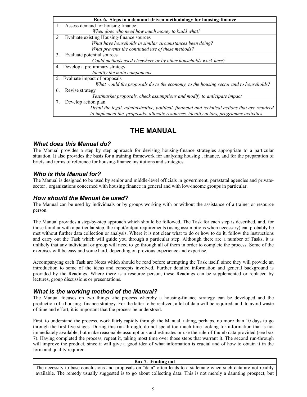|    | Box 6. Steps in a demand-driven methodology for housing-finance                                |
|----|------------------------------------------------------------------------------------------------|
|    | Assess demand for housing finance                                                              |
|    | When does who need how much money to build what?                                               |
| 2. | Evaluate existing Housing-finance sources                                                      |
|    | What have households in similar circumstances been doing?                                      |
|    | What prevents the continued use of these methods?                                              |
| 3. | Evaluate potential sources                                                                     |
|    | Could methods used elsewhere or by other households work here?                                 |
|    | 4. Develop a preliminary strategy                                                              |
|    | Identify the main components                                                                   |
|    | 5. Evaluate impact of proposals                                                                |
|    | What would the proposals do to the economy, to the housing sector and to households?           |
| 6. | Revise strategy                                                                                |
|    | Test/market proposals, check assumptions and modify to anticipate impact                       |
| 7. | Develop action plan                                                                            |
|    | Detail the legal, administrative, political, financial and technical actions that are required |
|    | to implement the proposals: allocate resources, identify actors, programme activities          |

# **THE MANUAL**

# *What does this Manual do?*

The Manual provides a step by step approach for devising housing-finance strategies appropriate to a particular situation. It also provides the basis for a training framework for analysing housing , finance, and for the preparation of briefs and terms of reference for housing-finance institutions and strategies.

# *Who is this Manual for?*

The Manual is designed to be used by senior and middle-level officials in government, parastatal agencies and privatesector , organizations concerned with housing finance in general and with low-income groups in particular.

# *How should the Manual be used?*

The Manual can be used by individuals or by groups working with or without the assistance of a trainer or resource person.

The Manual provides a step-by-step approach which should be followed. The Task for each step is described, and, for those familiar with a particular step, the input/output requirements (using assumptions when necessary) can probably be met without further data collection or analysis. Where it is not clear what to do or how to do it, follow the instructions and carry out the Task which will guide you through a particular step. Although there are a number of Tasks, it is unlikely that any individual or group will need to go through all of them in order to complete the process. Some of the exercises will be easy and some hard, depending on previous experience and expertise.

Accompanying each Task are Notes which should be read before attempting the Task itself, since they will provide an introduction to some of the ideas and concepts involved. Further detailed information and general background is provided by the Readings. Where there is a resource person, these Readings can be supplemented or replaced by lectures, group discussions or presentations.

# *What is the working method of the Manual?*

The Manual focuses on two things -the process whereby a housing-finance strategy can be developed and the production of a housing- finance strategy. For the latter to be realized, a lot of data will be required, and, to avoid waste of time and effort, it is important that the process be understood.

First, to understand the process, work fairly rapidly through the Manual, taking, perhaps, no more than 10 days to go through the first five stages. During this run-through, do not spend too much time looking for information that is not immediately available, but make reasonable assumptions and estimates or use the rule-of-thumb data provided (see box 7). Having completed the process, repeat it, taking most time over those steps that warrant it. The second run-through will improve the product, since it will give a good idea of what information is crucial and of how to obtain it in the form and quality required.

#### **Box 7. Finding out**

The necessity to base conclusions and proposals on "data" often leads to a stalemate when such data are not readily available. The remedy usually suggested is to go about collecting data. This is not merely a daunting prospect, but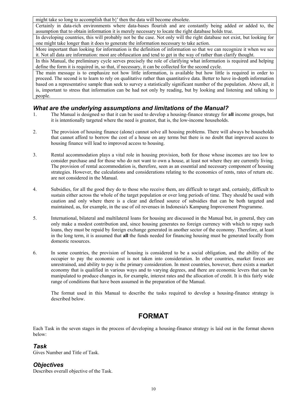might take so long to accomplish that b}' then the data will become obsolete.

Certainly in data-rich environments where data-bases flourish and are constantly being added or added to, the assumption that to obtain information it is merely necessary to locate the right database holds true.

In developing countries, this will probably not be the case. Not only will the right database not exist, but looking for one might take longer than it does to generate the information necessary to take action.

More important than looking for information is the definition of information so that we can recognize it when we see it. Not all data are information: most are obfuscation and tend to get in the way of rather than clarify thought.

In this Manual, the preliminary cycle serves precisely the role of clarifying what information is required and helping define the form it is required in, so that, if necessary, it can be collected for the second cycle.

The main message is to emphasize not how little information, is available but how little is required in order to proceed. The second is to learn to rely on qualitative rather than quantitative data. Better to have in-depth information based on a representative sample than seek to survey a statistically significant number of the population. Above all, it is, important to stress that information can be had not only by reading, but by looking and listening and talking to people.

# *What are the underlying assumptions and limitations of the Manual?*

- 1. The Manual is designed so that it can be used to develop a housing-finance strategy for **all** income groups, but it is intentionally targeted where the need is greatest, that is, the low-income households.
- 2. The provision of housing finance (alone) cannot solve all housing problems. There will always be households that cannot afford to borrow the cost of a house on any terms but there is no doubt that improved access to housing finance will lead to improved access to housing.
- 3. Rental accommodation plays a vital role in housing provision, both for those whose incomes are too low to consider purchase and for those who do not want to own a house, at least not where they are currently living. The provision of rental accommodation is, therefore, seen as an essential and necessary component of housing strategies. However, the calculations and considerations relating to the economics of rents, rates of return etc. are not considered in the Manual.
- 4. Subsidies, for all the good they do to those who receive them, are difficult to target and, certainly, difficult to sustain either across the whole of the target population or over long periods of time. They should be used with caution and only where there is a clear and defined source of subsidies that can be both targeted and maintained, as, for example, in the use of oil revenues in Indonesia's Kampung Improvement Programme.
- 5. International, bilateral and multilateral loans for housing are discussed in the Manual but, in general, they can only make a modest contribution and, since housing generates no foreign currency with which to repay such loans, they must be repaid by foreign exchange generated in another sector of the economy. Therefore, at least in the long term, it is assumed that **all** the funds needed for financing housing must be generated locally from domestic resources.
- 6. In some countries, the provision of housing is considered to be a social obligation, and the ability of the occupier to pay the economic cost is not taken into consideration. In other countries, market forces are unrestrained, and ability to pay is the primary consideration. In most countries, however, there exists a market economy that is qualified in various ways and to varying degrees, and there are economic levers that can be manipulated to produce changes in, for example, interest rates and the allocation of credit. It is this fairly wide range of conditions that have been assumed in the preparation of the Manual.

The format used in this Manual to describe the tasks required to develop a housing-finance strategy is described below.

# **FORMAT**

Each Task in the seven stages in the process of developing a housing-finance strategy is laid out in the format shown below:

# *Task*

Gives Number and Title of Task.

# *Objectives*

Describes overall objective of the Task.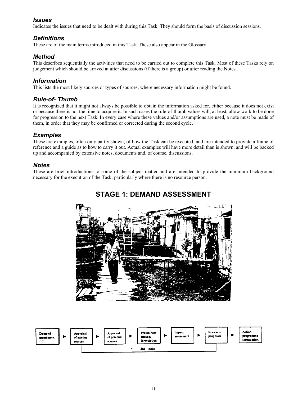# *Issues*

Indicates the issues that need to be dealt with during this Task. They should form the basis of discussion sessions.

# *Definitions*

These are of the main terms introduced in this Task. These also appear in the Glossary.

# *Method*

This describes sequentially the activities that need to be carried out to complete this Task. Most of these Tasks rely on judgement which should be arrived at after discussions (if there is a group) or after reading the Notes.

# *Information*

This lists the most likely sources or types of sources, where necessary information might be found.

# *Rule-of- Thumb*

It is recognized that it might not always be possible to obtain the information asked for, either because it does not exist or because there is not the time to acquire it. In such cases the rule-of-thumb values will, at least, allow work to be done for progression to the next Task. In every case where these values and/or assumptions are used, a note must be made of them, in order that they may be confirmed or corrected during the second cycle.

# *Examples*

These are examples, often only partly shown, of how the Task can be executed, and are intended to provide a frame of reference and a guide as to how to carry it out. Actual examples will have more detail than is shown, and will be backed up and accompanied by extensive notes, documents and, of course, discussions.

# *Notes*

These are brief introductions to some of the subject matter and are intended to provide the minimum background necessary for the execution of the Task, particularly where there is no resource person.



# **STAGE 1: DEMAND ASSESSMENT**

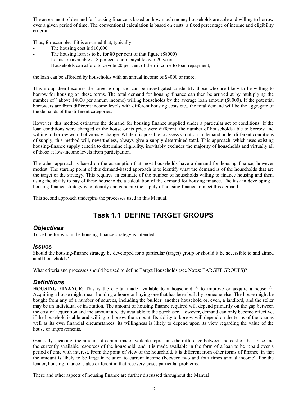The assessment of demand for housing finance is based on how much money households are able and willing to borrow over a given period of time. The conventional calculation is based on costs, a fixed percentage of income and eligibility criteria.

Thus, for example, if it is assumed that, typically:

- The housing cost is \$10,000
- The housing loan is to be for 80 per cent of that figure (\$8000)
- Loans are available at 8 per cent and repayable over 20 years
- Households can afford to devote 20 per cent of their income to loan repayment;

the loan can be afforded by households with an annual income of \$4000 or more.

This group then becomes the target group and can be investigated to identify those who are likely to be willing to borrow for housing on these terms. The total demand for housing finance can then be arrived at by multiplying the number of ( above \$4000 per annum income) willing households by the average loan amount (\$8000). If the potential borrowers are from different income levels with different housing costs etc., the total demand will be the aggregate of the demands of the different categories.

However, this method estimates the demand for housing finance supplied under a particular set of conditions. If the loan conditions were changed or the house or its price were different, the number of households able to borrow and willing to borrow would obviously change. While it is possible to assess variation in demand under different conditions of supply, this method will, nevertheless, always give a supply-determined total. This approach, which uses existing housing-finance supply criteria to determine eligibility, inevitably excludes the majority of households and virtually all of those at low-income levels from participation.

The other approach is based on the assumption that most households have a demand for housing finance, however modest. The starting point of this demand-based approach is to identify what the demand is of the households that are the target of the strategy. This requires an estimate of the number of households willing to finance housing and then, using the ability to pay of these households, a calculation of the demand for housing finance. The task in developing a housing-finance strategy is to identify and generate the supply of housing finance to meet this demand.

This second approach underpins the processes used in this Manual.

# **Task 1.1 DEFINE TARGET GROUPS**

# *Objectives*

To define for whom the housing-finance strategy is intended.

#### *Issues*

Should the housing-finance strategy be developed for a particular (target) group or should it be accessible to and aimed at all households?

What criteria and processes should be used to define Target Households (see Notes: TARGET GROUPS)?

# *Definitions*

**HOUSING FINANCE**: This is the capital made available to a household **(2)** to improve or acquire a house **(3)**. Acquiring a house might mean building a house or buying one that has been built by someone else. The house might be bought from any of a number of sources, including the builder, another household or, even, a landlord, and the seller may be an individual or institution. The amount of housing finance required will depend primarily on the gap between the cost of acquisition and the amount already available to the purchaser. However, demand can only become effective, if the household is able **and** willing to borrow the amount. Its ability to borrow will depend on the terms of the loan as well as its own financial circumstances; its willingness is likely to depend upon its view regarding the value of the house or improvements.

Generally speaking, the amount of capital made available represents the difference between the cost of the house and the currently available resources of the household, and it is made available in the form of a loan to be repaid over a period of time with interest. From the point of view of the household, it is different from other forms of finance, in that the amount is likely to be large in relation to current income (between two and four times annual income). For the lender, housing finance is also different in that recovery poses particular problems.

These and other aspects of housing finance are further discussed throughout the Manual.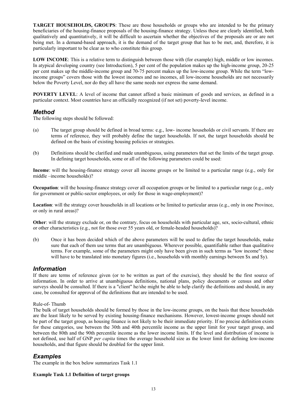**TARGET HOUSEHOLDS, GROUPS**: These are those households or groups who are intended to be the primary beneficiaries of the housing-finance proposals of the housing-finance strategy. Unless these are clearly identified, both qualitatively and quantitatively, it will be difficult to ascertain whether the objectives of the proposals are or are not being met. In a demand-based approach, it is the demand of the target group that has to be met, and, therefore, it is particularly important to be clear as to who constitute this group.

**LOW INCOME**: This is a relative term to distinguish between those with (for example) high, middle or low incomes. In atypical developing country (see Introduction), 5 per cent of the population makes up the high-income group, 20-25 per cent makes up the middle-income group and 70-75 percent makes up the low-income group. While the term "lowincome groups" covers those with the lowest incomes and no incomes, all low-income households are not necessarily below the Poverty Level, nor do they all have the same needs nor express the same demand.

**POVERTY LEVEL:** A level of income that cannot afford a basic minimum of goods and services, as defined in a particular context. Most countries have an officially recognized (if not set) poverty-level income.

## *Method*

The following steps should be followed:

- (a) The target group should be defined in broad terms: e.g., low- income households or civil servants. If there are terms of reference, they will probably define the target households. If not, the target households should be defined on the basis of existing housing policies or strategies.
- (b) Definitions should be clarified and made unambiguous, using parameters that set the limits of the target group. In defining target households, some or all of the following parameters could be used:

**Income**: will the housing-finance strategy cover all income groups or be limited to a particular range (e.g., only for middle –income households)?

**Occupation**: will the housing-finance strategy cover all occupation groups or be limited to a particular range (e.g., only for government or public-sector employees, or only for those in wage-employment)?

**Location**: will the strategy cover households in all locations or be limited to particular areas (e.g., only in one Province, or only in rural areas)?

**Other**: will the strategy exclude or, on the contrary, focus on households with particular age, sex, socio-cultural, ethnic or other characteristics (e.g., not for those over 55 years old, or female-headed households)?

(b) Once it has been decided which of the above parameters will be used to define the target households, make sure that each of them use terms that are unambiguous. Wherever possible, quantifiable rather than qualitative terms. For example, some of the parameters might only have been given in such terms as "low income": these will have to be translated into monetary figures (i.e., households with monthly earnings between \$x and \$y).

### *Information*

If there are terms of reference given (or to be written as part of the exercise), they should be the first source of information. In order to arrive at unambiguous definitions, national plans, policy documents or census and other surveys should be consulted. If there is a "client" he/she might be able to help clarify the definitions and should, in any case, be consulted for approval of the definitions that are intended to be used.

#### Rule-of- Thumb

The bulk of target households should be formed by those in the low-income groups, on the basis that these households are the least likely to be served by existing housing-finance mechanisms. However, lowest-income groups should not be part of the target group, as housing finance is not likely to be their immediate priority. If no precise definition exists for these categories, use between the 30th and 40th percentile income as the upper limit for your target group, and between the 80th and the 90th percentile income as the lower income limits. If the level and distribution of income is not defined, use half of GNP *per capita* times the average household size as the lower limit for defining low-income households, and that figure should be doubled for the upper limit.

### *Examples*

The example in the box below summarizes Task 1.1

#### **Example Task 1.1 Definition of target groups**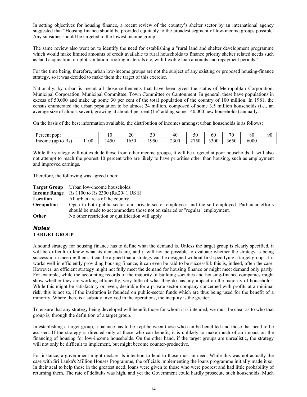In setting objectives for housing finance, a recent review of the country's shelter sector by an international agency suggested that "Housing finance should be provided equitably to the broadest segment of low-income groups possible. Any subsidies should be targeted to the lowest income group".

The same review also went on to identify the need for establishing a "rural land and shelter development programme which would make limited amounts of credit available to rural households to finance priority shelter related needs such as land acquisition, on-plot sanitation, roofing materials etc, with flexible loan amounts and repayment periods."

For the time being, therefore, urban low-income groups are not the subject of any existing or proposed housing-finance strategy, so it was decided to make them the target of this exercise.

Nationally, by urban is meant all those settlements that have been given the status of Metropolitan Corporation, Municipal Corporation, Municipal Committee, Town Committee or Cantonment. In general, these have populations in excess of 50,000 and make up some 30 per cent of the total population of the country of 100 million. In 1981, the census enumerated the urban population to be almost 24 million, composed of some 3.5 million households (i.e., an average size of almost seven), growing at about 4 per cent (Le" adding some 140,000 new households) annually.

On the basis of the best information available, the distribution of incomes amongst urban households is as follows:

| pop:<br>Percent                                       |     |      | n۵<br>∠∪       | J v  | 1 C<br>4U | 50                               | 66   | 70<br> | oσ<br>oυ | 90 |
|-------------------------------------------------------|-----|------|----------------|------|-----------|----------------------------------|------|--------|----------|----|
| <sup>n</sup><br>Income<br>R <sub>S</sub><br>up!<br>to | 100 | .450 | $\sim$<br>.650 | 1950 | 2300      | 2750<br>$\overline{\phantom{0}}$ | 3300 | 3650   | 6000     |    |

While the strategy will not exclude those from other income groups, it will be targeted at poor households. It will also not attempt to reach the poorest 10 percent who are likely to have priorities other than housing, such as employment and improved earnings.

Therefore, the following was agreed upon:

|            | <b>Target Group</b> Urban low-income households                                                   |
|------------|---------------------------------------------------------------------------------------------------|
|            | <b>Income Range</b> Rs.1100 to Rs.2300 (Rs.20/ 1 US \$)                                           |
| Location   | All urban areas of the country                                                                    |
| Occupation | Open to both public-sector and private-sector employees and the self-employed. Particular efforts |
|            | should be made to accommodate those not on salaried or "regular" employment.                      |
| Other      | No other restriction or qualification will apply                                                  |

#### *Notes* **TARGET GROUP**

A sound strategy for housing finance has to define what the demand is. Unless the target group is clearly specified, it will be difficult to know what its demands are, and it will not be possible to evaluate whether the strategy is being successful in meeting them. It can be argued that a strategy can be designed without first specifying a target group. If it works well in efficiently providing housing finance, it can even be said to be successful: this is, indeed, often the case. However, an efficient strategy might not fully meet the demand for housing finance or might meet demand only partly. For example, while the accounting records of the majority of building societies and housing-finance companies might show whether they are working efficiently, very little of what they do has any impact on the majority of households. While this might be satisfactory or, even, desirable for a private-sector company concerned with profits at a minimal risk, this is not so, if the institution is founded on public-sector funds which are thus being used for the benefit of a minority. Where there is a subsidy involved in the operations, the inequity is the greater.

To ensure that any strategy being developed will benefit those for whom it is intended, we must be clear as to who that group is, through the definition of a target group.

In establishing a target group, a balance has to be kept between those who can be benefited and those that need to be assisted. If the strategy is directed only at those who can benefit, it is unlikely to make much of an impact on the financing of housing for low-income households. On the other hand, if the target groups are unrealistic, the strategy will not only be difficult to implement, but might become counter-productive.

For instance, a government might declare its intention to lend to those most in need. While this was not actually the case with Sri Lanka's Million Houses Programme, the officials implementing the loans programme initially made it so. In their zeal to help those in the greatest need, loans were given to those who were poorest and had little probability of returning them. The rate of defaults was high, and yet the Government could hardly prosecute such households. Much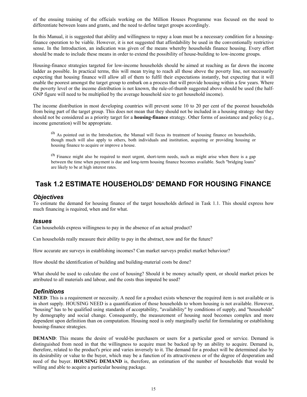of the ensuing training of the officials working on the Million Houses Programme was focused on the need to differentiate between loans and grants, and the need to define target groups accordingly.

In this Manual, it is suggested that ability and willingness to repay a loan must be a necessary condition for a housingfinance operation to be viable. However, it is not suggested that affordability be used in the conventionally restrictive sense. In the Introduction, an indication was given of the means whereby households finance housing. Every effort should be made to include these means in order to extend the possibility of house-building to low-income groups.

Housing-finance strategies targeted for low-income households should be aimed at reaching as far down the income ladder as possible. In practical terms, this will mean trying to reach all those above the poverty line, not necessarily expecting that housing finance will allow all of them to fulfil their expectations instantly, but expecting that it will enable the poorest amongst the target group to embark on a process that will provide housing within a few years. Where the poverty level or the income distribution is not known, the rule-of-thumb suggested above should be used (the half-GNP figure will need to be multiplied by the average household size to get household income).

The income distribution in most developing countries will prevent some 10 to 20 per cent of the poorest households from being part of the target group. This does not mean that they should not be included in a housing strategy -but they should not be considered as a priority target for a **housing-finance** strategy. Other forms of assistance and policy (e.g., income generation) will be appropriate.

**(2)** As pointed out in the Introduction, the Manual will focus its treatment of housing finance on households, though much will also apply to others, both individuals and institution, acquiring or providing housing or housing finance to acquire or improve a house.

**(3)** Finance might also be required to meet urgent, short-term needs, such as might arise when there is a gap between the time when payment is due and long-term housing finance becomes available. Such "bridging loans" are likely to be at high interest rates.

# **Task 1.2 ESTIMATE HOUSEHOLDS' DEMAND FOR HOUSING FINANCE**

### *Objectives*

To estimate the demand for housing finance of the target households defined in Task 1.1. This should express how much financing is required, when and for what.

### *Issues*

Can households express willingness to pay in the absence of an actual product?

Can households really measure their ability to pay in the abstract, now and for the future?

How accurate are surveys in establishing incomes? Can market surveys predict market behaviour?

How should the identification of building and building-material costs be done?

What should be used to calculate the cost of housing? Should it be money actually spent, or should market prices be attributed to all materials and labour, and the costs thus imputed be used?

# *Definitions*

**NEED**: This is a requirement or necessity. A need for a product exists whenever the required item is not available or is in short supply. HOUSING NEED is a quantification of those households to whom housing is not available. However, "housing" has to be qualified using standards of acceptability, "availability" by conditions of supply, and "households" by demography and social change. Consequently, the measurement of housing need becomes complex and more dependent upon definition than on computation. Housing need is only marginally useful for formulating or establishing housing-finance strategies.

**DEMAND**: This means the desire of would-be purchasers or users for a particular good or service. Demand is distinguished from need in that the willingness to acquire must be backed up by an ability to acquire. Demand is, therefore, related to the product's price and varies inversely to it. The demand for a product will be determined also by its desirability or value to the buyer, which may be a function of its attractiveness or of the degree of desperation and need of the buyer. **HOUSING DEMAND** is, therefore, an estimation of the number of households that would be willing and able to acquire a particular housing package.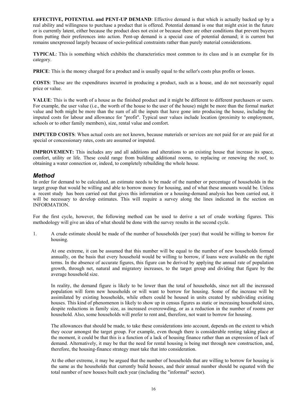**EFFECTIVE, POTENTIAL and PENT-UP DEMAND**: Effective demand is that which is actually backed up by a real ability and willingness to purchase a product that is offered. Potential demand is one that might exist in the future or is currently latent, either because the product does not exist or because there are other conditions that prevent buyers from putting their preferences into action. Pent-up demand is a special case of potential demand; it is current but remains unexpressed largely because of socio-political constraints rather than purely material considerations.

**TYPICAL**: This is something which exhibits the characteristics most common to its class and is an exemplar for its category.

**PRICE**: This is the money charged for a product and is usually equal to the seller's costs plus profits or losses.

**COSTS**: These are the expenditures incurred in producing a product, such as a house, and do not necessarily equal price or value.

**VALUE**: This is the worth of a house as the finished product and it might be different to different purchasers or users. For example, the user value (i.e., the worth of the house to the user of the house) might be more than the formal market value and both might be more than the sum of all the inputs that have gone into producing the house, including the imputed costs for labour and allowance for "profit". Typical user values include location (proximity to employment, schools or to other family members), size, rental value and comfort.

**IMPUTED COSTS**: When actual costs are not known, because materials or services are not paid for or are paid for at special or concessionary rates, costs are assumed or imputed.

**IMPROVEMENT:** This includes any and all additions and alterations to an existing house that increase its space, comfort, utility or life. These could range from building additional rooms, to replacing or renewing the roof, to obtaining a water connection or, indeed, to completely rebuilding the whole house.

## *Method*

In order for demand to be calculated, an estimate needs to be made of the number or percentage of households in the target group that would be willing and able to borrow money for housing, and of what these amounts would be. Unless a recent study has been carried out that gives this information or a housing-demand analysis has been carried out, it will be necessary to develop estimates. This will require a survey along the lines indicated in the section on INFORMATION.

For the first cycle, however, the following method can be used to derive a set of crude working figures. This methodology will give an idea of what should be done with the survey results in the second cycle.

1. A crude estimate should be made of the number of households (per year) that would be willing to borrow for housing.

At one extreme, it can be assumed that this number will be equal to the number of new households formed annually, on the basis that every household would be willing to borrow, if loans were available on the right terms. In the absence of accurate figures, this figure can be derived by applying the annual rate of population growth, through net, natural and migratory increases, to the target group and dividing that figure by the average household size.

In reality, the demand figure is likely to be lower than the total of households, since not all the increased population will form new households or will want to borrow for housing. Some of the increase will be assimilated by existing households, while others could be housed in units created by subdividing existing houses. This kind of phenomenon is likely to show up in census figures as static or increasing household sizes, despite reductions in family size, as increased overcrowding, or as a reduction in the number of rooms per household. Also, some households will prefer to rent and, therefore, not want to borrow for housing.

The allowances that should be made, to take these considerations into account, depends on the extent to which they occur amongst the target group. For example, even though there is considerable renting taking place at the moment, it could be that this is a function of a lack of housing finance rather than an expression of lack of demand. Alternatively, it may be that the need for rental housing is being met through new construction, and, therefore, the housing-finance strategy must take that into consideration.

At the other extreme, it may be argued that the number of households that are willing to borrow for housing is the same as the households that currently build houses, and their annual number should be equated with the total number of new houses built each year (including the "informal" sector).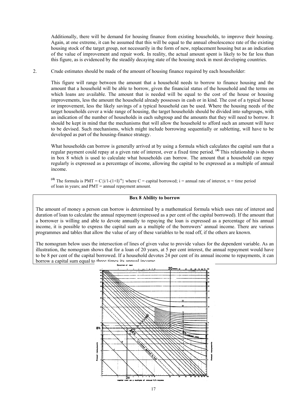Additionally, there will be demand for housing finance from existing households, to improve their housing. Again, at one extreme, it can be assumed that this will be equal to the annual obsolescence rate of the existing housing stock of the target group, not necessarily in the form of new, replacement housing but as an indication of the value of improvement and repair work. In reality, the actual amount spent is likely to be far less than this figure, as is evidenced by the steadily decaying state of the housing stock in most developing countries.

2. Crude estimates should be made of the amount of housing finance required by each householder:

This figure will range between the amount that a household needs to borrow to finance housing and the amount that a household will be able to borrow, given the financial status of the household and the terms on which loans are available. The amount that is needed will be equal to the cost of the house or housing improvements, less the amount the household already possesses in cash or in kind. The cost of a typical house or improvement, less the likely savings of a typical household can be used. Where the housing needs of the target households cover a wide range of housing, the target households should be divided into subgroups, with an indication of the number of households in each subgroup and the amounts that they will need to borrow. It should be kept in mind that the mechanisms that will allow the household to afford such an amount will have to be devised. Such mechanisms, which might include borrowing sequentially or subletting, will have to be developed as part of the housing-finance strategy.

What households can borrow is generally arrived at by using a formula which calculates the capital sum that a regular payment could repay at a given rate of interest, over a fixed time period. **(4)** This relationship is shown in box 8 which is used to calculate what households can borrow. The amount that a household can repay regularly is expressed as a percentage of income, allowing the capital to be expressed as a multiple of annual income.

(4) The formula is PMT =  $C\{i/1-(1+1)^{-n}\}$  where C = capital borrowed; i = annual rate of interest; n = time period of loan in years; and PMT = annual repayment amount.

#### **Box 8 Ability to borrow**

The amount of money a person can borrow is determined by a mathematical formula which uses rate of interest and duration of loan to calculate the annual repayment (expressed as a per cent of the capital borrowed). If the amount that a borrower is willing and able to devote annually to repaying the loan is expressed as a percentage of his annual income, it is possible to express the capital sum as a multiple of the borrowers' annual income. There are various programmes and tables that allow the value of any of these variables to be read off, if the others are known.

The nomogram below uses the intersection of lines of given value to provide values for the dependent variable. As an illustration, the nomogram shows that for a loan of 20 years, at 5 per cent interest, the annual repayment would have to be 8 per cent of the capital borrowed. If a household devotes 24 per cent of its annual income to repayments, it can borrow a capital sum equal to three times its annual income.

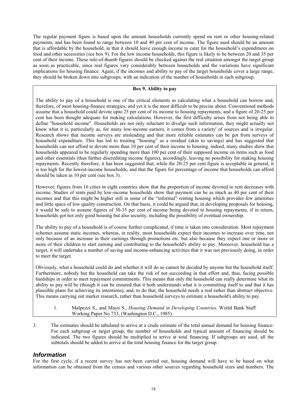The regular payment figure is based upon the amount households currently spend on rent or other housing-related payments, and has been found to range between 10 and 40 per cent of income. The figure used should be an amount that is affordable by the household, in that it should leave enough income to cater for the household's expenditures on food and other necessities (see box 9). For the low income households, this figure is likely to be between 20 and 35 per cent of their income. These rule-of-thumb figures should be checked against the real situation amongst the target group as soon as practicable, since real figures vary considerably between households and the variations have significant implications for housing finance. Again, if the incomes and ability to pay of the target households cover a large range, they should be broken down into subgroups, with an indication of the number of households in each subgroup.

#### **Box 9. Ability to pay**

The ability to pay of a household is one of the critical elements in calculating what a household can borrow and, therefore, of most housing-finance strategies, and yet it is the most difficult to be precise about. Conventional methods assume that a household could devote upto 25 per cent of its income to housing repayments, and a figure of 20-25 per cent has been thought adequate for making calculations. However, the first difficulty arises from not being able to define "household income". Households are not only reluctant to divulge such information, they might actually not know what it is, particularly as, for many low-income earners, it comes from a variety' of sources and is irregular. Research shows that income surveys are misleading and that more reliable estimates can be got from surveys of household expenditure. This has led to treating "housing" as a residual (akin to savings) and has suggested that households can not afford to devote more than 10 per cent of their income to housing. indeed, many studies show that households appeared to be regularly spending more than 100 per cent of their supposed income on items such as food and other essentials (thus further discrediting income figures), accordingly, leaving no possibility for making housing repayments. Recently therefore, it has been suggested that, while the 20-25 per cent figure is acceptable in general, it is too high for the lowest-income households, and that the figure for percentage of income that households can afford should be taken as 10 per cent (see box 3).

However, figures from 16 cities in eight countries show that the proportion of income devoted to rent decreases with income. Studies of rents paid by low-income households show that payment can be as much as 40 per cent of their incomes and that this might be higher still in some of the "informal" renting housing which provides few amenities and little space of low quality construction. On that basis, it could be argued that, in developing proposals for housing, it would be safe to assume figures of 30-35 per cent of income being devoted to housing repayments, if in return, households got not only good housing but also security, including the possibility of eventual ownership.

The ability to pay of a household is of course further complicated, if time is taken into consideration. Most repayment schemes assume static incomes, whereas, in reality, most households expect their incomes to increase over time, not only because of an increase in their earnings through promotions etc. but also because they expect one or more or more of their children to start earning and contributing to the household's ability to pay. Moreover, household has a target, it will undertake a number of saving and income-enhancing activities that it was not previously doing, in order to meet the target.

Obviously, what a household could do and whether it will do so cannot be decided by anyone but the household itself. Furthermore, nobody but the household can take the risk of not succeeding in that effort and, thus, facing possible hardships in order to meet repayment commitments. This means that only the household can really determine what its ability to pay will be (though it can be ensured that it both understands what it is committing itself to and that it has plausible plans for achieving its intentions), and, to do that, the household needs a real rather than abstract objective. This means carrying out market research, rather than household surveys to estimate a household's ability to pay.

- 1. Malpezzi S., and Mayo S., *Housing Demand in Developing Countries,* World Bank Staff Working Paper No 733, (Washington D.C., 1985).
- 3. The estimates should be tabulated to arrive at a crude estimate of the total annual demand for housing finance: For each subgroup or target group, the number of households and typical amount of financing should be indicated. The two figures should be multiplied to arrive at total financing. If subgroups are used, all the subtotals should be added to arrive at the total housing finance for the target group.

# *Information*

For the first cycle, if a recent survey has not been carried out, housing demand will have to be based on what information can be obtained from the census and various other sources regarding household sizes and numbers. The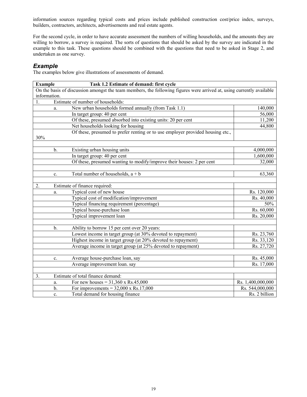information sources regarding typical costs and prices include published construction cost/price index, surveys, builders, contractors, architects, advertisements and real estate agents.

For the second cycle, in order to have accurate assessment the numbers of willing households, and the amounts they are willing to borrow, a survey is required. The sorts of questions that should be asked by the survey are indicated in the example to this task. These questions should be combined with the questions that need to be asked in Stage 2, and undertaken as one survey.

### *Example*

The examples below give illustrations of assessments of demand.

| <b>Example</b> |       | Task 1.2 Estimate of demand: first cycle                                                                              |                   |
|----------------|-------|-----------------------------------------------------------------------------------------------------------------------|-------------------|
|                |       | On the basis of discussion amongst the team members, the following figures were arrived at, using currently available |                   |
| information.   |       |                                                                                                                       |                   |
|                |       | Estimate of number of households:                                                                                     |                   |
|                | a.    | New urban households formed annually (from Task 1.1)                                                                  | 140,000           |
|                |       | In target group: 40 per cent                                                                                          | 56,000            |
|                |       | Of these, presumed absorbed into existing units: 20 per cent                                                          | 11,200            |
|                |       | Net households looking for housing                                                                                    | 44,800            |
|                |       | Of these, presumed to prefer renting or to use employer provided housing etc.,                                        |                   |
| 30%            |       |                                                                                                                       |                   |
|                |       |                                                                                                                       |                   |
|                | b.    | Existing urban housing units                                                                                          | 4,000,000         |
|                |       | In target group: 40 per cent                                                                                          | 1,600,000         |
|                |       | Of these, presumed wanting to modify/improve their houses: 2 per cent                                                 | 32,000            |
|                |       |                                                                                                                       |                   |
|                | c.    | Total number of households, $a + b$                                                                                   | 63,360            |
|                |       |                                                                                                                       |                   |
| 2.             |       | Estimate of finance required:                                                                                         |                   |
|                | a.    | Typical cost of new house                                                                                             | Rs. 120,000       |
|                |       | Typical cost of modification/improvement                                                                              | Rs. 40,000        |
|                |       | Typical financing requirement (percentage)                                                                            | 50%               |
|                |       | Typical house-purchase loan                                                                                           | Rs. 60,000        |
|                |       | Typical improvement loan                                                                                              | Rs. 20,000        |
|                |       |                                                                                                                       |                   |
|                | $b$ . | Ability to borrow 15 per cent over 20 years:                                                                          |                   |
|                |       | Lowest income in target group (at 30% devoted to repayment)                                                           | Rs. 23,760        |
|                |       | Highest income in target group (at 20% devoted to repayment)                                                          | Rs. 33,120        |
|                |       | Average income in target group (at 25% devoted to repayment)                                                          | Rs. 27,720        |
|                |       |                                                                                                                       |                   |
|                | c.    | Average house-purchase loan, say                                                                                      | Rs. 45,000        |
|                |       | Average improvement loan. say                                                                                         | Rs. 17,000        |
|                |       |                                                                                                                       |                   |
| 3.             |       | Estimate of total finance demand:                                                                                     |                   |
|                | a.    | For new houses = $31,360 \times$ Rs.45,000                                                                            | Rs. 1,400,000,000 |
|                | b.    | For improvements = $32,000 \times$ Rs.17,000                                                                          | Rs. 544,000,000   |
|                | c.    | Total demand for housing finance                                                                                      | Rs. 2 billion     |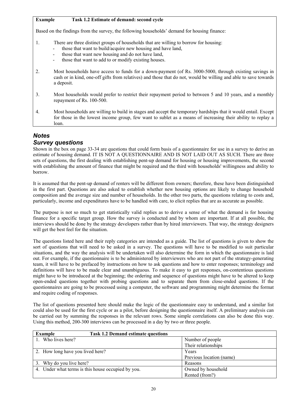### **Example Task 1.2 Estimate of demand: second cycle**

Based on the findings from the survey, the following households' demand for housing finance:

- 1. There are three distinct groups of households that are willing to borrow for housing:
	- those that want to build/acquire new housing and have land,
	- those that want new housing and do not have land,
	- those that want to add to or modify existing houses.
- 2. Most households have access to funds for a down-payment (of Rs. 3000-5000, through existing savings in cash or in kind, one-off gifts from relatives) and those that do not, would be willing and able to save towards a deposit.
- 3. Most households would prefer to restrict their repayment period to between 5 and 10 years, and a monthly repayment of Rs. 100-500.
- 4. Most households are willing to build in stages and accept the temporary hardships that it would entail. Except for those in the lowest income group, few want to sublet as a means of increasing their ability to replay a loan.

# *Notes*

# *Survey questions*

Shown in the box on page 33-34 are questions that could form basis of a questionnaire for use in a survey to derive an estimate of housing demand. IT IS NOT A QUESTIONNAIRE AND IS NOT LAID OUT AS SUCH. There are three sets of questions, the first dealing with establishing pent-up demand for housing or housing improvements, the second with establishing the amount of finance that might be required and the third with households' willingness and ability to borrow.

It is assumed that the pent-up demand of renters will be different from owners; therefore, these have been distinguished in the first part. Questions are also asked to establish whether new housing options are likely to change household composition and the average size and number of households. In the other two parts, the questions relating to costs and, particularly, income and expenditures have to be handled with care, to elicit replies that are as accurate as possible.

The purpose is not so much to get statistically valid replies as to derive a sense of what the demand is for housing finance for a specific target group. How the survey is conducted and by whom are important. If at all possible, the interviews should be done by the strategy developers rather than by hired interviewers. That way, the strategy designers will get the best feel for the situation.

The questions listed here and their reply categories are intended as a guide. The list of questions is given to show the sort of questions that will need to be asked in a survey. The questions will have to be modified to suit particular situations, and the way the analysis will be undertaken will also determine the form in which the questionnaire is laid out. For example, if the questionnaire is to be administered by interviewers who are not part of the strategy-generating team, it will have to be prefaced by instructions on how to ask questions and how to enter responses; terminology and definitions will have to be made clear and unambiguous. To make it easy to get responses, on-contentious questions might have to be introduced at the beginning; the ordering and sequence of questions might have to be altered to keep open-ended questions together with probing questions and to separate them from close-ended questions. If the questionnaires are going to be processed using a computer, the software and programming might determine the format and require coding of responses.

The list of questions presented here should make the logic of the questionnaire easy to understand, and a similar list could also be used for the first cycle or as a pilot, before designing the questionnaire itself. A preliminary analysis can be carried out by summing the responses in the relevant rows. Some simple correlations can also be done this way. Using this method, 200-300 interviews can be processed in a day by two or three people.

| Example                                            | <b>Task 1.2 Demand estimate questions</b> |                          |
|----------------------------------------------------|-------------------------------------------|--------------------------|
| 1. Who lives here?                                 |                                           | Number of people         |
|                                                    |                                           | Their relationships      |
| 2. How long have you lived here?                   |                                           | Years                    |
|                                                    |                                           | Previous location (name) |
| 3. Why do you live here?                           |                                           | Reasons                  |
| 4. Under what terms is this house occupied by you. |                                           | Owned by household       |
|                                                    |                                           | Rented (from?)           |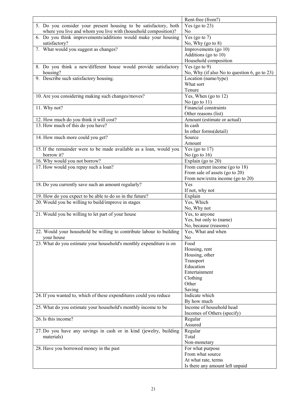|                                                                      | Rent-free (from?)                                      |
|----------------------------------------------------------------------|--------------------------------------------------------|
| 5. Do you consider your present housing to be satisfactory, both     | Yes (go to $23$ )                                      |
| where you live and whom you live with (household composition)?       | No                                                     |
| 6. Do you think improvements/additions would make your housing       | Yes (go to $7$ )                                       |
| satisfactory?                                                        | No, Why (go to 8)                                      |
| 7. What would you suggest as changes?                                | Improvements (go 10)                                   |
|                                                                      | Additions (go to 10)                                   |
|                                                                      | Household composition                                  |
| 8. Do you think a new/different house would provide satisfactory     | Yes (go to $9$ )                                       |
| housing?                                                             | No, Why (if also No to question 6, go to 23)           |
| 9. Describe such satisfactory housing.                               | Location (name/type)                                   |
|                                                                      | What sort                                              |
|                                                                      | Tenure                                                 |
| 10. Are you considering making such changes/moves?                   | Yes, When (go to 12)                                   |
|                                                                      | No $(go \t o 11)$                                      |
| 11. Why not?                                                         | Financial constraints                                  |
|                                                                      | Other reasons (list)                                   |
|                                                                      |                                                        |
| 12. How much do you think it will cost?                              | Amount (estimate or actual)<br>In cash                 |
| 13. How much of this do you have?                                    |                                                        |
|                                                                      | In other forms(detail)                                 |
| 14. How much more could you get?                                     | Source                                                 |
|                                                                      | Amount                                                 |
| 15. If the remainder were to be made available as a loan, would you  | Yes (go to $17$ )                                      |
| borrow it?                                                           | No (go to $16$ )                                       |
| 16. Why would you not borrow?                                        | Explain (go to 20)                                     |
| 17. How would you repay such a loan?                                 | From current income (go to 18)                         |
|                                                                      | From sale of assets (go to 20)                         |
|                                                                      | From new/extra income (go to 20)                       |
| 18. Do you currently save such an amount regularly?                  | Yes                                                    |
|                                                                      | If not, why not                                        |
| 19. How do you expect to be able to do so in the future?             | Explain                                                |
|                                                                      |                                                        |
| 20. Would you be willing to build/improve in stages                  | Yes, Which                                             |
|                                                                      | No, Why not                                            |
| 21. Would you be willing to let part of your house                   | Yes, to anyone                                         |
|                                                                      | Yes, but only to (name)                                |
|                                                                      | No, because (reasons)                                  |
| 22. Would your household be willing to contribute labour to building | Yes, What and when                                     |
| your house                                                           | N <sub>0</sub>                                         |
|                                                                      | Food                                                   |
| 23. What do you estimate your household's monthly expenditure is on  |                                                        |
|                                                                      | Housing, rent                                          |
|                                                                      | Housing, other                                         |
|                                                                      | Transport<br>Education                                 |
|                                                                      |                                                        |
|                                                                      | Entertainment                                          |
|                                                                      | Clothing                                               |
|                                                                      | Other                                                  |
|                                                                      | Saving<br>Indicate which                               |
| 24. If you wanted to, which of these expenditures could you reduce   |                                                        |
|                                                                      | By how much                                            |
| 25. What do you estimate your household's monthly income to be       | Income of household head                               |
|                                                                      | Incomes of Others (specify)                            |
| 26. Is this income?                                                  | Regular                                                |
|                                                                      | Assured                                                |
| 27. Do you have any savings in cash or in kind (jewelry, building    | Regular                                                |
| materials)                                                           | Total                                                  |
|                                                                      | Non-monetary                                           |
| 28. Have you borrowed money in the past                              | For what purpose                                       |
|                                                                      | From what source                                       |
|                                                                      | At what rate, terms<br>Is there any amount left unpaid |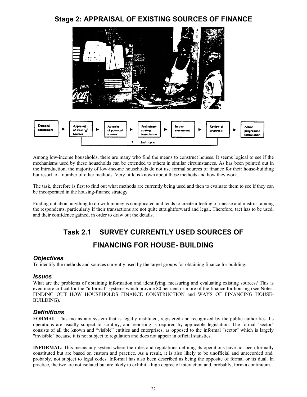# **Stage 2: APPRAISAL OF EXISTING SOURCES OF FINANCE**



Among low-income households, there are many who find the means to construct houses. It seems logical to see if the mechanisms used by these households can be extended to others in similar circumstances. As has been pointed out in the Introduction, the majority of low-income households do not use formal sources of finance for their house-building but resort to a number of other methods. Very little is known about these methods and how they work.

The task, therefore is first to find out what methods are currently being used and then to evaluate them to see if they can be incorporated in the housing-finance strategy.

Finding out about anything to do with money is complicated and tends to create a feeling of unease and mistrust among the respondents, particularly if their transactions are not quite straightforward and legal. Therefore, tact has to be used, and their confidence gained, in order to draw out the details.

# **Task 2.1 SURVEY CURRENTLY USED SOURCES OF FINANCING FOR HOUSE- BUILDING**

### *Objectives*

To identify the methods and sources currently used by the target groups for obtaining finance for building.

### *Issues*

What are the problems of obtaining information and identifying, measuring and evaluating existing sources? This is even more critical for the "informal" systems which provide 80 per cent or more of the finance for housing (see Notes: FINDING OUT HOW HOUSEHOLDS FINANCE CONSTRUCTION and WAYS OF FINANCING HOUSE-BUILDING).

# *Definitions*

**FORMAL**: This means any system that is legally instituted, registered and recognized by the public authorities. Its operations are usually subject to scrutiny, and reporting is required by applicable legislation. The formal "sector" consists of all the known and "visible" entities and enterprises, as opposed to the informal "sector" which is largely "invisible" because it is not subject to regulation and does not appear in official statistics.

**INFORMAL**: This means any system where the rules and regulations defining its operations have not been formally constituted but are based on custom and practice. As a result, it is also likely to be unofficial and unrecorded and, probably, not subject to legal codes. Informal has also been described as being the opposite of formal or its dual. In practice, the two are not isolated but are likely to exhibit a high degree of interaction and, probably, form a continuum.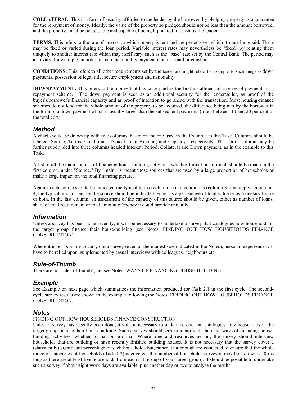**COLLATERAL**: This is a form of security afforded to the lender by the borrower, by pledging property as a guarantee for the repayment of money. Ideally, the value of the property so pledged should not be less than the amount borrowed, and the property, must be possessable and capable of being liquidated for cash by the lender.

**TERMS:** This refers to the rate of interest at which money is lent and the period over which it must be repaid. These may be fixed or varied during the loan period. Variable interest rates may nevertheless be "fixed" by relating them uniquely to another interest rate which may itself vary, such as the "base" rate set by the Central Bank. The period may also vary, for example, in order to keep the monthly payment amount small or constant.

**CONDITIONS:** This refers to all other requirements set by the lender and might relate, for example, to such things as down payments, possession of legal title, secure employment and nationality.

**DOWNPAYMENT:** This refers to the money that has to be paid as the first installment of a series of payments in a repayment scheme. , The down payment is seen as an additional security for the lender/seller, as proof of the buyer's/borrower's financial capacity and as proof of intention to go ahead with the transaction. Most housing-finance schemes do not lend for the whole amount of the property to be acquired, the difference being met by the borrower in the form of a down payment which is usually larger than the subsequent payments (often between 10 and 20 per cent of the total cost).

# *Method*

A chart should be drawn up with five columns, based on the one used in the Example to this Task. Columns should be labeled: Source; Terms; Conditions; Typical Loan Amount; and Capacity, respectively. The Terms column may be further subdivided into three columns headed Interest; Period; Collateral and Down payment, as in the example to this Task.

A list of all the main sources of financing house-building activities, whether formal or informal, should be made in the first column, under "Source." By "main" is meant those sources that are used by a large proportion of households or make a large impact on the total financing picture.

Against each source should be indicated the typical terms (column 2) and conditions (column 3) that apply. In column 4, the typical amount lent by the source should be indicated, either as a percentage of total value or as monetary figure or both. In the last column, an assessment of the capacity of this source should be given, either as number of loans, share of total requirement or total amount of money it could provide annually.

### *Information*

Unless a survey has been done recently, it will be necessary to undertake a survey that catalogues how households in the target group finance their house-building (see Notes: FINDING OUT HOW HOUSEHOLDS FINANCE CONSTRUCTION).

Where it is not possible to carry out a survey (even of the modest size indicated in the Notes), personal experience will have to be relied upon, supplemented by casual interviews with colleagues, neighbours etc.

### *Rule-of-Thumb*

There are no "rules-of-thumb", but see Notes: WAYS OF FINANCING HOUSE-BUILDING.

### *Example*

See Example on next page which summarizes the information produced for Task 2.1 in the first cycle. The secondcycle survey results are shown in the example following the Notes: FINDING OUT HOW HOUSEHOLDS FINANCE CONSTRUCTION.

### *Notes*

FINDING OUT HOW HOUSEHOLDS FINANCE CONSTRUCTION

Unless a survey has recently been done, it will be necessary to undertake one that catalogues how households in the target group finance their house-building. Such a survey should seek to identify all the main ways of financing housebuilding activities, whether formal or informal. Where time and resources permit, the survey should interview households that are building or have recently finished building houses. It is not necessary that the survey cover a (statistically) significant percentage of such households but, rather, that enough are contacted to ensure that the whole range of categories of households (Task 1.2) is covered: the number of households surveyed may be as few as 50 (as long as there are at least five households from each sub-group of your target group). It should be possible to undertake such a survey if about eight work-days are available, plus another day or two to analyse the results.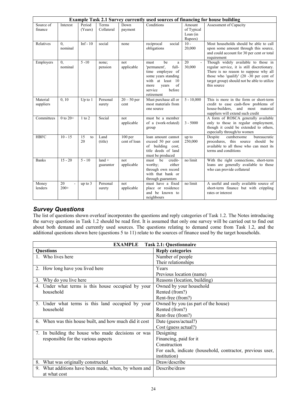|                       |                             |                   |                       |                           | <b>Example Task 2.1 Survey currently used sources of financing for house building</b>                                                                             |                                             |                                                                                                                                                                                                                                         |
|-----------------------|-----------------------------|-------------------|-----------------------|---------------------------|-------------------------------------------------------------------------------------------------------------------------------------------------------------------|---------------------------------------------|-----------------------------------------------------------------------------------------------------------------------------------------------------------------------------------------------------------------------------------------|
| Source of<br>finance  | Interest                    | Period<br>(Years) | Terms<br>Collateral   | Down<br>payment           | Conditions                                                                                                                                                        | Amount<br>of Typical<br>Loan (in<br>Rupees) | Assessment of Capacity                                                                                                                                                                                                                  |
| Relatives             | $\overline{0}$ .<br>nominal | $Inf - 10$        | social                | none                      | reciprocal<br>social<br>obligations                                                                                                                               | $10 -$<br>20,000                            | Most households should be able to call<br>upon some amount through this source,<br>and could account for 30 per cent or total<br>requirement                                                                                            |
| Employers             | $\overline{0}$ .<br>nominal | $5 - 10$          | none;<br>pension      | not<br>applicable         | be<br>must<br>a<br>full-<br>'permanent',<br>time employee of<br>some years standing<br>with at least 10<br>of<br>years<br>more<br>service<br>before<br>retirement | 20<br>30,000                                | Though widely available to those in<br>regular service, it is still discretionary.<br>There is no reason to suppose why all<br>those who 'qualify' $(20 -30)$ per cent of<br>target group) should not be able to utilize<br>this source |
| Material<br>suppliers | 0, 10                       | Up to $1$         | Personal<br>surety    | $20 - 50$ per<br>cent     | Must purchase all or<br>most materials from<br>one source                                                                                                         | $5 - 10,000$                                | This is more in the form or short-term<br>credit to ease cash-flow problems of<br>and most material<br>house-builders.<br>suppliers will extend such credit                                                                             |
| Committees            | $0$ to $20+$                | $1$ to $2$        | Social                | not<br>applicable         | must be a member<br>of a (work-related)<br>group                                                                                                                  | $3 - 5000$                                  | A form of ROSCA generally available<br>only to those in regular employment,<br>though it could be extended to others,<br>especially through/to women                                                                                    |
| <b>HBFC</b>           | $10 - 15$                   | 15<br>to<br>20    | Land<br>(title)       | $100$ per<br>cent of loan | loan amount cannot<br>exceed 50 per cent<br>of building cost;<br>title deeds of land<br>must be produced                                                          | up to<br>250,000                            | Despite<br>cumbersome<br>bureaucratic<br>procedures, this source<br>should be<br>available to all those who can meet its<br>terms and conditions                                                                                        |
| <b>Banks</b>          | $15 - 20$                   | $5 - 10$          | $land +$<br>guarantor | not<br>applicable         | must be<br>credit-<br>either<br>worthy;<br>through own record<br>with that bank or<br>through guarantors                                                          | no limit                                    | With the right connections, short-term<br>loans are generally available to those<br>who can provide collateral                                                                                                                          |
| Money<br>lenders      | 20<br>$200+$                | up to 3           | Personal<br>surety    | not<br>applicable         | must have a fixed<br>place or residence<br>and be known to<br>neighbours                                                                                          | no limit                                    | A useful and easily available source of<br>short-term finance but with crippling<br>rates or interest                                                                                                                                   |

# *Survey Questions*

The list of questions shown overleaf incorporates the questions and reply categories of Task 1.2. The Notes introducing the survey questions in Task 1.2 should be read first. It is assumed that only one survey will be carried out to find out about both demand and currently used sources. The questions relating to demand come from Task 1.2, and the additional questions shown here (questions 5 to 11) relate to the sources of finance used by the target households.

| <b>Task 2.1: Questionnaire</b><br><b>EXAMPLE</b>       |                                                           |  |  |
|--------------------------------------------------------|-----------------------------------------------------------|--|--|
| <b>Questions</b>                                       | <b>Reply categories</b>                                   |  |  |
| 1. Who lives here                                      | Number of people                                          |  |  |
|                                                        | Their relationships                                       |  |  |
| 2. How long have you lived here                        | Years                                                     |  |  |
|                                                        | Previous location (name)                                  |  |  |
| 3. Why do you live here                                | Reasons (location, building)                              |  |  |
| 4. Under what terms is this house occupied by your     | Owned by your household                                   |  |  |
| household                                              | Rented (from?)                                            |  |  |
|                                                        | Rent-free (from?)                                         |  |  |
| 5. Under what terms is this land occupied by your      | Owned by you (as part of the house)                       |  |  |
| household                                              | Rented (from?)                                            |  |  |
|                                                        | Rent-free (from?)                                         |  |  |
| 6. When was this house built, and how much did it cost | Date (guess/actual?)                                      |  |  |
|                                                        | Cost (guess actual?)                                      |  |  |
| 7. In building the house who made decisions or was     | Designing                                                 |  |  |
| responsible for the various aspects                    | Financing, paid for it                                    |  |  |
|                                                        | Construction                                              |  |  |
|                                                        | For each, indicate (household, contractor, previous user, |  |  |
|                                                        | institution)                                              |  |  |
| 8. What was originally constructed                     | Draw/describe                                             |  |  |
| 9. What additions have been made, when, by whom and    | Describe/draw                                             |  |  |
| at what cost                                           |                                                           |  |  |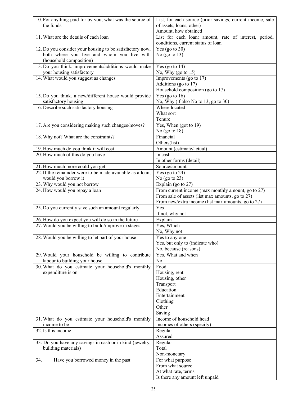| 10. For anything paid for by you, what was the source of<br>the funds         | List, for each source (prior savings, current income, sale<br>of assets, loans, other) |
|-------------------------------------------------------------------------------|----------------------------------------------------------------------------------------|
|                                                                               | Amount, how obtained                                                                   |
| 11. What are the details of each loan                                         | List for each loan: amount, rate of interest, period,                                  |
|                                                                               | conditions, current status of loan                                                     |
| 12. Do you consider your housing to be satisfactory now,                      | Yes (go to $30$ )                                                                      |
| both where you live and whom you live with                                    | No (go to $13$ )                                                                       |
| (household composition)                                                       |                                                                                        |
| 13. Do you think. improvements/additions would make                           | Yes (go to $14$ )                                                                      |
| your housing satisfactory                                                     | No, Why (go to $15$ )                                                                  |
| 14. What would you suggest as changes                                         | Improvements (go to 17)                                                                |
|                                                                               | Additions (go to 17)                                                                   |
|                                                                               | Household composition (go to 17)                                                       |
| 15. Do you think. a new/different house would provide<br>satisfactory housing | Yes (go to $16$ )                                                                      |
| 16. Describe such satisfactory housing                                        | No, Why (if also No to 13, go to 30)<br>Where located                                  |
|                                                                               | What sort                                                                              |
|                                                                               | Tenure                                                                                 |
| 17. Are you considering making such changes/moves?                            | Yes, When (got to $19$ )                                                               |
|                                                                               | No $(go \t o \t 18)$                                                                   |
| 18. Why not? What are the constraints?                                        | Financial                                                                              |
|                                                                               | Others(list)                                                                           |
| 19. How much do you think it will cost                                        | Amount (estimate/actual)                                                               |
| 20. How much of this do you have                                              | In cash                                                                                |
|                                                                               | In other forms (detail)                                                                |
| 21. How much more could you get                                               | Source/amount                                                                          |
| 22. If the remainder were to be made available as a loan,                     | Yes (go to $24$ )                                                                      |
| would you borrow it                                                           | No $(go \t o 23)$                                                                      |
| 23. Why would you not borrow                                                  | Explain (go to 27)                                                                     |
| 24. How would you repay a loan                                                | From current income (max monthly amount, go to 27)                                     |
|                                                                               | From sale of assets (list max amounts, go to 27)                                       |
|                                                                               | From new/extra income (list max amounts, go to 27)                                     |
| 25. Do you currently save such an amount regularly                            | Yes                                                                                    |
|                                                                               | If not, why not                                                                        |
| 26. How do you expect you will do so in the future                            | Explain                                                                                |
| 27. Would you be willing to build/improve in stages                           | Yes, Which                                                                             |
|                                                                               | No, Why not                                                                            |
| 28. Would you be willing to let part of your house                            | Yes to any one                                                                         |
|                                                                               | Yes, but only to (indicate who)                                                        |
|                                                                               | No, because (reasons)                                                                  |
| 29. Would your household be willing to contribute                             | Yes, What and when                                                                     |
| labour to building your house                                                 | N <sub>0</sub>                                                                         |
| 30. What do you estimate your household's monthly                             | Food                                                                                   |
| expenditure is on                                                             | Housing, rent                                                                          |
|                                                                               | Housing, other                                                                         |
|                                                                               | Transport                                                                              |
|                                                                               | Education                                                                              |
|                                                                               | Entertainment                                                                          |
|                                                                               | Clothing                                                                               |
|                                                                               | Other                                                                                  |
|                                                                               | Saving                                                                                 |
| 31. What do you estimate your household's monthly                             | Income of household head                                                               |
| income to be                                                                  | Incomes of others (specify)                                                            |
| 32. Is this income                                                            | Regular                                                                                |
|                                                                               | Assured                                                                                |
| 33. Do you have any savings in cash or in kind (jewelry,                      | Regular<br>Total                                                                       |
| building materials)                                                           | Non-monetary                                                                           |
| Have you borrowed money in the past<br>34.                                    | For what purpose                                                                       |
|                                                                               | From what source                                                                       |
|                                                                               | At what rate, terms                                                                    |
|                                                                               | Is there any amount left unpaid                                                        |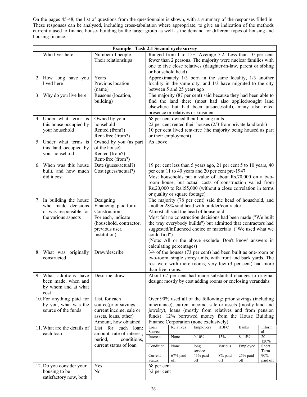On the pages 45-48, the list of questions from the questionnaire is shown, with a summary of the responses filled in. These responses can be analysed, including cross-tabulation where appropriate, to give an indication of the methods currently used to finance house- building by the target group as well as the demand for different types of housing and housing finance.

| <b>Example Task 2.1 Second cycle survey</b>                                                     |                                                                                                                                        |                            |                               |                                                                                                                                                                                                                                                                                                                                                                                                               |                |                 |                   |
|-------------------------------------------------------------------------------------------------|----------------------------------------------------------------------------------------------------------------------------------------|----------------------------|-------------------------------|---------------------------------------------------------------------------------------------------------------------------------------------------------------------------------------------------------------------------------------------------------------------------------------------------------------------------------------------------------------------------------------------------------------|----------------|-----------------|-------------------|
| 1. Who lives here                                                                               | Number of people<br>Their relationships                                                                                                | or household head)         |                               | Ranged from I to 15+, Average 7.2. Less than 10 per cent<br>fewer than 2 persons. The majority were nuclear families with<br>one to five close relatives (daughter-in-law, parent or sibling                                                                                                                                                                                                                  |                |                 |                   |
| 2. How long have you<br>lived here                                                              | Years<br>Previous location<br>(name)                                                                                                   |                            | between 5 and 25 years ago    | Approximately 1/3 born in the same locality, 1/3 another<br>locality in the same city, and 1/3 have migrated to the city                                                                                                                                                                                                                                                                                      |                |                 |                   |
| 3. Why do you live here                                                                         | Reasons (location,<br>building)                                                                                                        |                            |                               | The majority (87 per cent) said because they had been able to<br>find the land there (most had also applied/sought land<br>elsewhere but had been unsuccessful), many also cited<br>presence or relatives or kinsmen                                                                                                                                                                                          |                |                 |                   |
| 4. Under what terms is<br>this house occupied by<br>your household                              | Owned by your<br>household<br>Rented (from?)<br>Rent-free (from?)                                                                      |                            | or their employment)          | 68 per cent owned their housing units<br>22 per cent rented their houses (2/3 from private landlords)<br>10 per cent lived rent-free (the majority being housed as part                                                                                                                                                                                                                                       |                |                 |                   |
| 5. Under what terms is<br>this land occupied by<br>your household                               | Owned by you (as part<br>of the house)<br>Rented (from?)<br>Rent-free (from?)                                                          | As above                   |                               |                                                                                                                                                                                                                                                                                                                                                                                                               |                |                 |                   |
| 6. When was this house<br>built, and how much<br>did it cost                                    | Date (guess/actual?)<br>Cost (guess/actual?)                                                                                           |                            | or quality or square footage) | 19 per cent less than 5 years ago, 21 per cent 5 to 10 years, 40<br>per cent 11 to 40 years and 20 per cent pre-1947<br>Most households put a value of about Rs.70,000 on a two-<br>room house, but actual costs of construction varied from<br>Rs.20,000 to Rs.155,000 (without a close correlation in terms                                                                                                 |                |                 |                   |
| 7. In building the house<br>who made decisions<br>or was responsible for<br>the various aspects | Designing<br>Financing, paid for it<br>Construction<br>For each, indicate<br>(household, contractor,<br>previous user,<br>institution) | could find")               | calculating percentages)      | The majority (78 per cent) said the head of household, and<br>another 28% said head with builder/contractor<br>Almost all said the head of household<br>Most felt no construction decisions had been made ("We built<br>the way everybody builds") but admitted that contractors had<br>suggested/influenced choice or materials ("We used what we<br>(Note: All or the above exclude 'Don't know' answers in |                |                 |                   |
| 8. What was originally<br>constructed                                                           | Draw/describe                                                                                                                          | than five rooms.           |                               | 3/4 of the houses (73 per cent) had been built as one-room or<br>two-room, single storey units, with front and back yards. The<br>rest were with more rooms; very few (3 per cent) had more                                                                                                                                                                                                                   |                |                 |                   |
| 9. What additions have<br>been made, when and<br>by whom and at what<br>cost                    | Describe, draw                                                                                                                         |                            |                               | About 67 per cent had made substantial changes to original<br>design: mostly by cost adding rooms or enclosing verandahs                                                                                                                                                                                                                                                                                      |                |                 |                   |
| 10. For anything paid for<br>by you, what was the<br>source of the funds                        | List, for each<br>source(prior savings,<br>current income, sale or<br>assets, loans, other)<br>Amount, how obtained                    |                            |                               | Over 90% used all of the following: prior savings (including<br>inheritance), current income, sale or assets (mostly land and<br>jewelry), loans (mostly from relatives and from pension<br>funds). 12% borrowed money from the House Building<br>Finance Corporation (none exclusively).                                                                                                                     |                |                 |                   |
| 11. What are the details of                                                                     | List for each<br>loan:                                                                                                                 | Loan<br>Source:            | Relatives                     | Employers                                                                                                                                                                                                                                                                                                                                                                                                     | <b>HBFC</b>    | <b>Banks</b>    | Inform<br>al      |
| each loan                                                                                       | amount, rate of interest,<br>period,<br>conditions,                                                                                    | Interest:                  | None                          | $0 - 10\%$                                                                                                                                                                                                                                                                                                                                                                                                    | 15%            | 8-15%           | $20 -$<br>$120\%$ |
|                                                                                                 | current status of loan                                                                                                                 | Condition                  | None                          | long<br>service                                                                                                                                                                                                                                                                                                                                                                                               | Various        | Employee        | Short<br>Term     |
|                                                                                                 |                                                                                                                                        | Current<br>Status:         | 67% paid<br>off               | 45% paid<br>off                                                                                                                                                                                                                                                                                                                                                                                               | 8% paid<br>off | 25% paid<br>off | 90%<br>paid off   |
| 12. Do you consider your<br>housing to be<br>satisfactory now, both                             | Yes<br>No                                                                                                                              | 68 per cent<br>32 per cent |                               |                                                                                                                                                                                                                                                                                                                                                                                                               |                |                 |                   |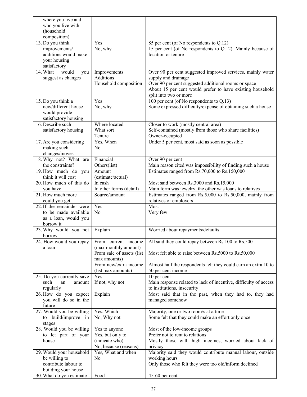| where you live and                             |                           |                                                                                                       |
|------------------------------------------------|---------------------------|-------------------------------------------------------------------------------------------------------|
| who you live with                              |                           |                                                                                                       |
| (household                                     |                           |                                                                                                       |
| composition)                                   | Yes                       |                                                                                                       |
| 13. Do you think<br>improvements/              | No, why                   | 85 per cent (of No respondents to Q.12)<br>15 per cent (of No respondents to Q.12). Mainly because of |
| additions would make                           |                           | location or tenure                                                                                    |
| your housing                                   |                           |                                                                                                       |
| satisfactory                                   |                           |                                                                                                       |
| would<br>14. What<br>you                       | Improvements              | Over 90 per cent suggested improved services, mainly water                                            |
| suggest as changes                             | Additions                 | supply and drainage                                                                                   |
|                                                | Household composition     | Over 90 per cent suggested additional rooms or space                                                  |
|                                                |                           | About 15 per cent would prefer to have existing household                                             |
|                                                |                           | split into two or more                                                                                |
| 15. Do you think a                             | Yes                       | 100 per cent (of No respondents to $Q.13$ )                                                           |
| new/different house                            | No, why                   | Some expressed difficulty/expense of obtaining such a house                                           |
| would provide                                  |                           |                                                                                                       |
| satisfactory housing                           |                           |                                                                                                       |
| 16. Describe such                              | Where located             | Closer to work (mostly central area)                                                                  |
| satisfactory housing                           | What sort                 | Self-contained (mostly from those who share facilities)                                               |
| 17. Are you considering                        | Tenure<br>Yes, When       | Owner-occupied<br>Under 5 per cent, most said as soon as possible                                     |
| making such                                    | N <sub>0</sub>            |                                                                                                       |
| changes/moves                                  |                           |                                                                                                       |
| 18. Why not? What are                          | Financial                 | Over 90 per cent                                                                                      |
| the constraints?                               | Others(list)              | Main reason cited was impossibility of finding such a house                                           |
| 19. How much do you                            | Amount                    | Estimates ranged from Rs.70,000 to Rs.150,000                                                         |
| think it will cost                             | (estimate/actual)         |                                                                                                       |
| 20. How much of this do                        | In cash                   | Most said between Rs.3000 and Rs.15,000                                                               |
| you have                                       | In other forms (detail)   | Main form was jewelry, the other was loans to relatives                                               |
| 21. How much more                              | Source/amount             | Estimates ranged from $Rs.5,000$ to $Rs.50,000$ , mainly from                                         |
| could you get                                  |                           | relatives or employers                                                                                |
| 22. If the remainder were                      | Yes                       | Most                                                                                                  |
| to be made available                           | N <sub>0</sub>            | Very few                                                                                              |
| as a loan, would you<br>borrow it              |                           |                                                                                                       |
| 23. Why would you not                          | Explain                   | Worried about repayments/defaults                                                                     |
| borrow                                         |                           |                                                                                                       |
| 24. How would you repay                        | From current income       | All said they could repay between Rs.100 to Rs.500                                                    |
| a loan                                         | (max monthly amount)      |                                                                                                       |
|                                                | From sale of assets (list | Most felt able to raise between Rs.5000 to Rs.50,000                                                  |
|                                                | max amounts)              |                                                                                                       |
|                                                | From new/extra income     | Almost half the respondents felt they could earn an extra 10 to                                       |
|                                                | (list max amounts)        | 50 per cent income                                                                                    |
| 25. Do you currently save                      | Yes                       | 10 per cent                                                                                           |
| such<br>an<br>amount                           | If not, why not           | Main response related to lack of incentive, difficulty of access                                      |
| regularly                                      |                           | to institutions, insecurity                                                                           |
| 26. How do you expect<br>you will do so in the | Explain                   | Most said that in the past, when they had to, they had<br>managed somehow                             |
| future                                         |                           |                                                                                                       |
| 27. Would you be willing                       | Yes, Which                | Majority, one or two room/s at a time                                                                 |
| build/improve in<br>to                         | No, Why not               | Some felt that they could make an effort only once                                                    |
| stages                                         |                           |                                                                                                       |
| 28. Would you be willing                       | Yes to anyone             | Most of the low-income groups                                                                         |
| to let part of your                            | Yes, but only to          | Prefer not to rent to relations                                                                       |
| house                                          | (indicate who)            | Mostly those with high incomes, worried about lack of                                                 |
|                                                | No, because (reasons)     | privacy                                                                                               |
| 29. Would your household                       | Yes, What and when        | Majority said they would contribute manual labour, outside                                            |
| be willing to                                  | No                        | working hours                                                                                         |
| contribute labour to                           |                           | Only those who felt they were too old/inform declined                                                 |
| building your house                            |                           |                                                                                                       |
| 30. What do you estimate                       | Food                      | 45-60 per cent                                                                                        |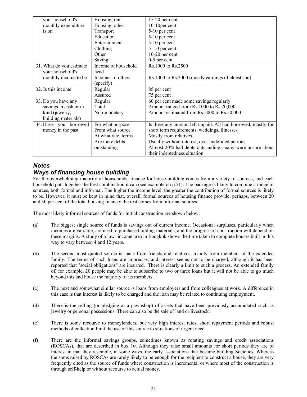| your household's         | Housing, rent       | $15-20$ per cent                                              |
|--------------------------|---------------------|---------------------------------------------------------------|
| monthly expenditure      | Housing, other      | 10-10 per cent                                                |
| is on                    | Transport           | 5-10 per cent                                                 |
|                          | Education           | 5-10 per cent                                                 |
|                          | Entertainment       | 5-10 per cent                                                 |
|                          | Clothing            | $5 - 10$ per cent                                             |
|                          | Other               | $10-20$ per cent                                              |
|                          | Saving              | $0-5$ per cent                                                |
| 31. What do you estimate | Income of household | Rs.1000 to Rs.2500                                            |
| your household's         | head                |                                                               |
| monthly income to be     | Incomes of others   | Rs.1000 to Rs.2000 (mostly earnings of eldest son)            |
|                          | (specify)           |                                                               |
| 32. Is this income       | Regular             | 85 per cent                                                   |
|                          | Assured             | 75 per cent                                                   |
| 33. Do you have any      | Regular             | 60 per cent made some savings regularly                       |
| savings in cash or in    | Total               | Amount ranged from Rs.1000 to Rs.20,000                       |
| kind (jewelry,           | Non-monetary        | Amount estimated from Rs.5000 to Rs.50,000                    |
| building materials)      |                     |                                                               |
| 34. Have you borrowed    | For what purpose    | Is there any amount left unpaid. All had borrowed, mostly for |
| money in the past        | From what source    | short term requirements, weddings, illnesses                  |
|                          | At what rate, terms | Mostly from relatives                                         |
|                          | Are there debts     | Usually without interest, over undefined periods              |
|                          | outstanding         | Almost 20% had debts outstanding; many were unsure about      |
|                          |                     | their indebtedness situation                                  |

# *Notes Ways of financing house building*

For the overwhelming majority of households, finance for house-building comes from a variety of sources, and each household puts together the best combination it can (see example on p.51). The package is likely to combine a range of sources, both formal and informal. The higher the income level, the greater the contribution of formal sources is likely to be. However, it must be kept in mind that, overall, formal sources of housing finance provide, perhaps, between 20 and 30 per cent of the total housing finance: the rest comes from informal sources.

The most likely informal sources of funds for initial construction are shown below:

- (a) The biggest single source of funds is savings out of current income. Occasional surpluses, particularly when incomes are variable, are used to purchase building materials, and the progress of construction will depend on these margins. A study of a low- income area in Bangkok shows the time taken to complete houses built in this way to vary between 4 and 12 years.
- (b) The second most quoted source is loans from friends and relatives, mainly from members of the extended family. The terms of such loans are imprecise, and interest seems not to be charged, although it has been reported that "social obligations" are incurred. There is clearly a limit to such a process. An extended family of, for example, 20 people may be able to subscribe to two or three loans but it will not be able to go much beyond this and house the majority of its members.
- (c) The next and somewhat similar source is loans from employers and from colleagues at work. A difference in this case is that interest is likely to be charged and the loan may be related to continuing employment.
- (d) There is the selling (or pledging at a pawnshop) of assets that have been previously accumulated such as jewelry or personal possessions. There can also be the sale of land or livestock.
- (e) There is some recourse to moneylenders, but very high interest rates, short repayment periods and robust methods of collection limit the use of this source to situations of urgent need.
- (f) There are the informal savings groups, sometimes known as rotating savings and credit associations (ROSCAs), that are described in box 10. Although they raise small amounts for short periods they are of interest in that they resemble, in some ways, the early associations that became building Societies. Whereas the sums raised by ROSCAs are rarely likely to be enough for the recipient to construct a house, they are very frequently cited as the source of funds where construction is incremental or where most of the construction is through self-help or without recourse to actual money.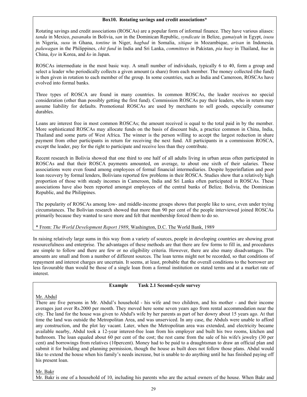#### **Box10. Rotating savings and credit associations\***

Rotating savings and credit associations (ROSCAs) are a popular form of informal finance. They have various aliases: *tanda* in Mexico, *pasanaku* in Bolivia, *san* in the Dominican Republic, *syndicate* in Belize, *gamaiyah* in Egypt, *isusu* in Nigeria, *susu* in Ghana, *tontine* in Niger, *hagbad* in Somalia, *xitique* in Mozambique, *arisan* in Indonesia*, paluwagan* in the Philippines, *chit fund* in India and Sri Lanka, *committees* in Pakistan, *pia huey* in Thailand, *hue* in China, *kye* in Korea, and *ko* in Japan.

ROSCAs intermediate in the most basic way. A small number of individuals, typically 6 to 40, form a group and select a leader who periodically collects a given amount (a share) from each member. The money collected (the fund) is then given in rotation to each member of the group. In some countries, such as India and Cameroon, ROSCAs have evolved into formal banks.

Three types of ROSCA are found in many countries. In common ROSCAs, the leader receives no special consideration (other than possibly getting the first fund). Commission ROSCAs pay their leaders, who in return may assume liability for defaults. Promotional ROSCAs are used by merchants to sell goods, especially consumer durables.

Loans are interest free in most common ROSCAs; the amount received is equal to the total paid in by the member. More sophisticated ROSCAs may allocate funds on the basis of discount bids, a practice common in China, India, Thailand and some parts of West Africa. The winner is the person willing to accept the largest reduction in share payment from other participants in return for receiving the next fund. All participants in a commission ROSCA, except the leader, pay for the right to participate and receive less than they contribute.

Recent research in Bolivia showed that one third to one half of all adults living in urban areas often participated in ROSCAs and that their ROSCA payments amounted, on average, to about one sixth of their salaries. These associations were even found among employees of formal financial intermediaries. Despite hyperinflation and poor loan recovery by formal lenders, Bolivians reported few problems in their ROSCA. Studies show that a relatively high proportion of those with steady incomes in Cameroon, India and Sri Lanka often participated in ROSCAs. These associations have also been reported amongst employees of the central banks of Belize. Bolivia, the Dominican Republic, and the Philippines.

The popularity of ROSCAs among low- and middle-income groups shows that people like to save, even under trying circumstances. The Bolivian research showed that more than 90 per cent of the people interviewed joined ROSCAs primarily because they wanted to save more and felt that membership forced them to do so.

\* From: *The World Development Report 1989*, Washington, D.C. The World Bank, 1989

In raising relatively large sums in this way from a variety of sources, people in developing countries are showing great resourcefulness and enterprise. The advantages of these methods are that there are few forms to fill in, and procedures are simple to follow and there are few or no eligibility criteria. However, there are also many disadvantages. The amounts are small and from a number of different sources. The loan terms might not be recorded, so that conditions of repayment and interest charges are uncertain. It seems, at least, probable that the overall conditions to the borrower are less favourable than would be those of a single loan from a formal institution on stated terms and at a market rate of interest.

#### **Example Task 2.1 Second-cycle survey**

#### Mr. Abdul

There are five persons in Mr. Abdul's household - his wife and two children, and his mother - and their income averages just over Rs.2000 per month. They moved here some seven years ago from rental accommodation near the city. The land for the house was given to Abdul's wife by her parents as part of her dowry about 15 years ago. At that time the land was outside the Metropolitan Area, and was unserviced. In any case, the Abduls were unable to afford any construction, and the plot lay vacant. Later, when the Metropolitan area was extended, and electricity became available nearby, Abdul took a 12-year interest-free loan from his employer and built his two rooms, kitchen and bathroom. The loan equaled about 60 per cent of the cost; the rest came from the sale of his wife's jewelry (30 per cent) and borrowings from relatives (10percent). Money had to be paid to a draughtsman to draw an official plan and submit it for building and planning permission, though the house as built does not follow those plans. Abdul would like to extend the house when his family's needs increase, but is unable to do anything until he has finished paying off his present loan.

Mr. Bakr

Mr. Bakr is one of a household of 10, including his parents who are the actual owners of the house. When Bakr and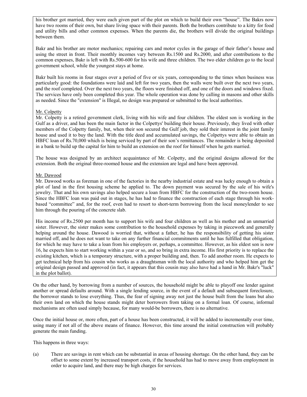his brother got married, they were each given part of the plot on which to build their own "house". The Bakrs now have two rooms of their own, but share living space with their parents. Both the brothers contribute to a kitty for food and utility bills and other common expenses. When the parents die, the brothers will divide the original buildings between them.

Bakr and his brother are motor mechanics; repairing cars and motor cycles in the garage of their father's house and using the street in front. Their monthly incomes vary between Rs.1500 and Rs.2000, and after contributions to the common expenses, Bakr is left with Rs.500-600 for his wife and three children. The two elder children go to the local government school, while the youngest stays at home.

Bakr built his rooms in four stages over a period of five or six years, corresponding to the times when business was particularly good: the foundations were laid and left for two years, then the walls were built over the next two years, and the roof completed. Over the next two years, the floors were finished off, and one of the doors and windows fixed. The services have only been completed this year. The whole operation was done by calling in masons and other skills as needed. Since the "extension" is Illegal, no design was prepared or submitted to the local authorities.

#### Mr. Colpetty

Mr. Colpetty is a retired government clerk, living with his wife and four children. The eldest son is working in the Gulf as a driver, and has been the main factor in the Colpettys' building their house. Previously, they lived with other members of the Colpetty family, but, when their son secured the Gulf job, they sold their interest in the joint family house and used it to buy the land. With the title deed and accumulated savings, the Colpettys were able to obtain an HBFC loan of Rs.70,000 which is being serviced by part of their son's remittances. The remainder is being deposited in a bank to build up the capital for him to build an extension on the roof for himself when he gets married.

The house was designed by an architect acquaintance of Mr. Colpetty, and the original designs allowed for the extension. Both the original three-roomed house and the extension are legal and have been approved.

#### Mr. Dawood

Mr. Dawood works as foreman in one of the factories in the nearby industrial estate and was lucky enough to obtain a plot of land in the first housing scheme he applied to. The down payment was secured by the sale of his wife's jewelry. That and his own savings also helped secure a loan from HBFC for the construction of the two-room house. Since the HBFC loan was paid out in stages, he has had to finance the construction of each stage through his workbased "committee" and, for the roof, even had to resort to short-term borrowing from the local moneylender to see him through the pouring of the concrete slab.

His income of Rs.2500 per month has to support his wife and four children as well as his mother and an unmarried sister. However, the sister makes some contribution to the household expenses by taking in piecework and generally helping around the house. Dawood is worried that, without a father, he has the responsibility of getting his sister married off, and he does not want to take on any further financial commitments until he has fulfilled that obligation, for which he may have to take a loan from his employers or, perhaps, a committee. However, as his eldest son is now 16, he expects him to start working within a year or so, and so bring in extra income. His first priority is to replace the existing kitchen, which is a temporary structure, with a proper building and, then. To add another room. He expects to get technical help from his cousin who works as a draughtsman with the local authority and who helped him get the original design passed and approved (in fact, it appears that this cousin may also have had a hand in Mr. Bakr's "luck" in the plot ballot).

On the other hand, by borrowing from a number of sources, the household might be able to playoff one lender against another or spread defaults around. With a single lending source, in the event of a default and subsequent foreclosure, the borrower stands to lose everything. Thus, the fear of signing away not just the house built from the loans but also their own land on which the house stands might deter borrowers from taking on a formal loan. Of course, informal mechanisms are often used simply because, for many would-be borrowers, there is no alternative.

Once the initial house or, more often, part of a house has been constructed, it will be added to incrementally over time, using many if not all of the above means of finance. However, this time around the initial construction will probably generate the main funding.

This happens in three ways:

(a) There are savings in rent which can be substantial in areas of housing shortage. On the other hand, they can be offset to some extent by increased transport costs, if the household has had to move away from employment in order to acquire land, and there may be high charges for services.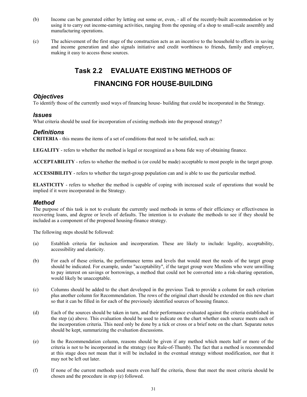- (b) Income can be generated either by letting out some or, even, all of the recently-built accommodation or by using it to carry out income-earning activities, ranging from the opening of a shop to small-scale assembly and manufacturing operations.
- (c) The achievement of the first stage of the construction acts as an incentive to the household to efforts in saving and income generation and also signals initiative and credit worthiness to friends, family and employer, making it easy to access those sources.

# **Task 2.2 EVALUATE EXISTING METHODS OF**

# **FINANCING FOR HOUSE-BUILDING**

# *Objectives*

To identify those of the currently used ways of financing house- building that could be incorporated in the Strategy.

# *Issues*

What criteria should be used for incorporation of existing methods into the proposed strategy?

# *Definitions*

**CRITERIA** - this means the items of a set of conditions that need to be satisfied, such as:

**LEGALITY** - refers to whether the method is legal or recognized as a bona fide way of obtaining finance.

**ACCEPTABILITY** - refers to whether the method is (or could be made) acceptable to most people in the target group.

**ACCESSIBILITY** - refers to whether the target-group population can and is able to use the particular method.

**ELASTICITY** - refers to whether the method is capable of coping with increased scale of operations that would be implied if it were incorporated in the Strategy.

# *Method*

The purpose of this task is not to evaluate the currently used methods in terms of their efficiency or effectiveness in recovering loans, and degree or levels of defaults. The intention is to evaluate the methods to see if they should be included as a component of the proposed housing-finance strategy.

The following steps should be followed:

- (a) Establish criteria for inclusion and incorporation. These are likely to include: legality, acceptability, accessibility and elasticity.
- (b) For each of these criteria, the performance terms and levels that would meet the needs of the target group should be indicated. For example, under "acceptability", if the target group were Muslims who were unwilling to pay interest on savings or borrowings, a method that could not be converted into a risk-sharing operation, would likely be unacceptable.
- (c) Columns should be added to the chart developed in the previous Task to provide a column for each criterion plus another column for Recommendation. The rows of the original chart should be extended on this new chart so that it can be filled in for each of the previously identified sources of housing finance.
- (d) Each of the sources should be taken in turn, and their performance evaluated against the criteria established in the step (a) above. This evaluation should be used to indicate on the chart whether each source meets each of the incorporation criteria. This need only be done by a tick or cross or a brief note on the chart. Separate notes should be kept, summarizing the evaluation discussions.
- (e) In the Recommendation column, reasons should be given if any method which meets half or more of the criteria is not to be incorporated in the strategy (see Rule-of-Thumb). The fact that a method is recommended at this stage does not mean that it will be included in the eventual strategy without modification, nor that it may not be left out later.
- (f) If none of the current methods used meets even half the criteria, those that meet the most criteria should be chosen and the procedure in step (e) followed.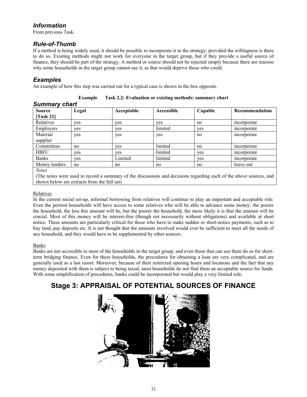# *Information*

From previous Task.

# *Rule-of-Thumb*

If a method is being widely used, it should be possible to incorporate it in the strategy, provided the willingness is there to do so. Existing methods might not work for everyone in the target group, but if they provide a useful source of finance, they should be part of the strategy. A method or source should not be rejected simply because there are reasons why some households in the target group cannot use it, as that would deprive those who could.

# *Examples*

An example of how this step was carried out for a typical case is shown in the box opposite.

| Example |  | Task 2.2: Evaluation or existing methods: summary chart |  |
|---------|--|---------------------------------------------------------|--|
|---------|--|---------------------------------------------------------|--|

*Summary chart*

| <b>Source</b>                    | Legal | Acceptable | Accessible | Capable | Recommendation |
|----------------------------------|-------|------------|------------|---------|----------------|
| $\left[ \text{Task } 21 \right]$ |       |            |            |         |                |
| Relatives                        | ves   | yes        | yes        | no      | meorporate     |
| <b>Employers</b>                 | ves   | ves        | limited    | yes     | incorporate    |
| Material                         | yes   | yes        | yes        | no      | incorporate    |
| supplier                         |       |            |            |         |                |
| Committees                       | no    | ves        | limited    | no      | incorporate    |
| <b>HBFC</b>                      | ves   | ves        | limited    | ves     | incorporate    |
| <b>Banks</b>                     | ves   | Limited    | limited    | yes     | incorporate    |
| Money lenders                    | no    | no         | no         | no      | leave out      |
| <b>Notes</b>                     |       |            |            |         |                |

*Notes*

(The notes were used to record a summary of the discussions and decisions regarding each of the above sources, and shown below are extracts from the full set)

## Relatives

In the current social set-up, informal borrowing from relatives will continue to play an important and acceptable role. Even the poorest households will have access to some relatives who will be able to advance some money: the poorer the household, the less this amount will be, but the poorer the household, the more likely it is that the amount will be crucial. Most of this money will be interest-free (though not necessarily without obligations) and available at short notice. These amounts are particularly critical for those who have to make sudden or short-notice payments, such as to buy land, pay deposits etc. It is not thought that the amounts involved would ever be sufficient to meet all the needs of any household, and they would have to be supplemented by other sources.

Banks

Banks are not accessible to most of the households in the target group, and even those that can use them do so for shortterm bridging finance. Even for these households, the procedures for obtaining a loan are very complicated, and are generally used as a last resort. Moreover, because of their restricted opening hours and locations and the fact that any money deposited with them is subject to being taxed, most households do not find them an acceptable source for funds. With some simplification of procedures, banks could be incorporated but would play a very limited role.

# **Stage 3: APPRAISAL OF POTENTIAL SOURCES OF FINANCE**

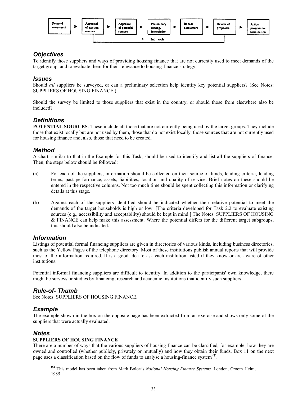

# *Objectives*

To identify those suppliers and ways of providing housing finance that are not currently used to meet demands of the target group, and to evaluate them for their relevance to housing-finance strategy.

# *Issues*

Should *all* suppliers be surveyed, or can a preliminary selection help identify key potential suppliers? (See Notes: SUPPLIERS OF HOUSING FINANCE.)

Should the survey be limited to those suppliers that exist in the country, or should those from elsewhere also be included?

# *Definitions*

**POTENTIAL SOURCES**: These include all those that are not currently being used by the target groups. They include those that exist locally but are not used by them, those that do not exist locally, those sources that are not currently used for housing finance and, also, those that need to be created.

# *Method*

A chart, similar to that in the Example for this Task, should be used to identify and list all the suppliers of finance. Then, the steps below should be followed:

- (a) For each of the suppliers, information should be collected on their source of funds, lending criteria, lending terms, past performance, assets, liabilities, location and quality of service. Brief notes on these should be entered in the respective columns. Not too much time should be spent collecting this information or clarifying details at this stage.
- (b) Against each of the suppliers identified should be indicated whether their relative potential to meet the demands of the target households is high or low. [The criteria developed for Task 2.2 to evaluate existing sources (e.g., accessibility and acceptability) should be kept in mind.] The Notes: SUPPLIERS OF HOUSING & FINANCE can help make this assessment. Where the potential differs for the different target subgroups, this should also be indicated.

# *Information*

Listings of potential formal financing suppliers are given in directories of various kinds, including business directories, such as the Yellow Pages of the telephone directory. Most of these institutions publish annual reports that will provide most of the information required, It is a good idea to ask each institution listed if they know or are aware of other institutions.

Potential informal financing suppliers are difficult to identify. In addition to the participants' own knowledge, there might be surveys or studies by financing, research and academic institutions that identify such suppliers.

# *Rule-of- Thumb*

See Notes: SUPPLIERS OF HOUSING FINANCE.

# *Example*

The example shown in the box on the opposite page has been extracted from an exercise and shows only some of the suppliers that were actually evaluated.

# *Notes*

### **SUPPLIERS OF HOUSING FINANCE**

There are a number of ways that the various suppliers of housing finance can be classified, for example, how they are owned and controlled (whether publicly, privately or mutually) and how they obtain their funds. Box 11 on the next page uses a classification based on the flow of funds to analyse a housing-finance system **(5)**.

**(5)** This model has been taken from Mark Boleat's *National Housing Finance Systems.* London, Croom Helm, 1985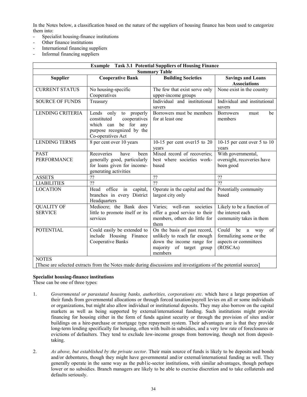In the Notes below, a classification based on the nature of the suppliers of housing finance has been used to categorize them into:

- Specialist housing-finance institutions
- Other finance institutions
- International financing suppliers
- Informal financing suppliers

| <b>Example</b> Task 3.1 Potential Suppliers of Housing Finance |                                                                                                                                    |                                                                                                                                  |                                                                                               |  |  |
|----------------------------------------------------------------|------------------------------------------------------------------------------------------------------------------------------------|----------------------------------------------------------------------------------------------------------------------------------|-----------------------------------------------------------------------------------------------|--|--|
| <b>Summary Table</b>                                           |                                                                                                                                    |                                                                                                                                  |                                                                                               |  |  |
| <b>Supplier</b>                                                | <b>Cooperative Bank</b>                                                                                                            | <b>Building Societies</b>                                                                                                        | <b>Savings and Loans</b><br><b>Associations</b>                                               |  |  |
| <b>CURRENT STATUS</b>                                          | No housing-specific<br>Cooperatives                                                                                                | The few that exist serve only<br>upper-income groups                                                                             | None exist in the country                                                                     |  |  |
| <b>SOURCE OF FUNDS</b>                                         | Treasury                                                                                                                           | Individual and institutional<br>savers                                                                                           | Individual and institutional<br>savers                                                        |  |  |
| <b>LENDING CRITERIA</b>                                        | Lends only to properly<br>constituted<br>cooperatives<br>be for any<br>which can<br>purpose recognized by the<br>Co-operatives Act | Borrowers must be members<br>for at least one                                                                                    | <b>Borrowers</b><br>be<br>must<br>members                                                     |  |  |
| <b>LENDING TERMS</b>                                           | 8 per cent over 10 years                                                                                                           | 10-15 per cent over $15$ to $20$<br>years                                                                                        | 10-15 per cent over 5 to 10<br>years                                                          |  |  |
| <b>PAST</b><br><b>PERFORMANCE</b>                              | Recoveries<br>have<br>been<br>generally good, particularly<br>for loans given for income-<br>generating activities                 | Mixed record of recoveries;<br>best where societies work-<br>based                                                               | With governmental,<br>oversight, recoveries have<br>been good                                 |  |  |
| <b>ASSETS</b>                                                  | ??                                                                                                                                 | $\overline{22}$                                                                                                                  | $\overline{22}$                                                                               |  |  |
| <b>LIABILITIES</b>                                             | ??                                                                                                                                 | $\overline{22}$                                                                                                                  | $\overline{22}$                                                                               |  |  |
| <b>LOCATION</b>                                                | office<br>in<br>Head<br>capital,<br>branches in every District<br>Headquarters                                                     | Operate in the capital and the<br>largest city only                                                                              | Potentially community<br>based                                                                |  |  |
| <b>QUALITY OF</b><br><b>SERVICE</b>                            | Mediocre; the Bank does<br>little to promote itself or its<br>services                                                             | Varies; well-run societies<br>offer a good service to their<br>members, others do little for<br>them                             | Likely to be a function of<br>the interest each<br>community takes in them                    |  |  |
| <b>POTENTIAL</b>                                               | Could easily be extended to<br>include Housing Finance<br>Cooperative Banks                                                        | On the basis of past record,<br>unlikely to reach far enough<br>down the income range for<br>majority of target group<br>members | of<br>Could<br>be<br>a<br>way<br>formalizing some or the<br>aspects or committees<br>(ROSCAs) |  |  |
| <b>NOTES</b>                                                   |                                                                                                                                    | [These are selected extracts from the Notes made during discussions and investigations of the potential sources]                 |                                                                                               |  |  |

#### **Specialist housing-finance institutions**

These can be one of three types:

- 1. *Governmental or parastatal housing banks, authorities, corporations etc*. which have a large proportion of their funds from governmental allocations or through forced taxation/payroll levies on all or some individuals or organizations, but might also allow individual or institutional deposits. They may also borrow on the capital markets as well as being supported by external/international funding. Such institutions might provide financing for housing either in the form of funds against security or through the provision of sites and/or buildings on a hire-purchase or mortgage type repayment system. Their advantages are is that they provide long-term lending specifically for housing, often with built-in subsidies, and a very low rate of foreclosures or evictions of defaulters. They tend to exclude low-income groups from borrowing, though not from deposittaking.
- 2. *As above, but established by the private sector.* Their main source of funds is likely to be deposits and bonds and/or debentures, though they might have governmental and/or external/international funding as well. They generally operate in the same way as the pub1ic-sector institutions, with similar advantages, though perhaps lower or no subsidies. Branch managers are likely to be able to exercise discretion and to take collaterals and defaults seriously.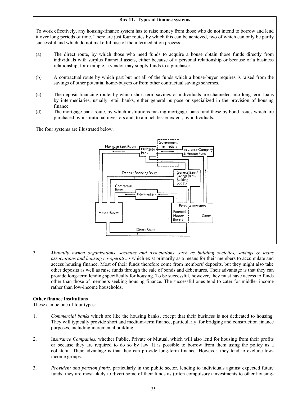#### **Box 11. Types of finance systems**

To work effectively, any housing-finance system has to raise money from those who do not intend to borrow and lend it over long periods of time. There are just four routes by which this can be achieved, two of which can only be partly successful and which do not make full use of the intermediation process:

- (a) The direct route, by which those who need funds to acquire a house obtain those funds directly from individuals with surplus financial assets, either because of a personal relationship or because of a business relationship, for example, a vendor may supply funds to a purchaser.
- (b) A contractual route by which part but not all of the funds which a house-buyer requires is raised from the savings of other potential home-buyers or from other contractual savings schemes.
- (c) The deposit financing route. by which short-term savings or individuals are channeled into long-term loans by intermediaries, usually retail banks, either general purpose or specialized in the provision of housing finance.
- (d) The mortgage bank route, by which institutions making mortgage loans fund these by bond issues which are purchased by institutional investors and, to a much lesser extent, by individuals.

The four systems are illustrated below.



3. *Mutually owned organizations, societies and associations, such as building societies, savings & loans associations and housing co-operatives* which exist primarily as a means for their members to accumulate and access housing finance. Most of their funds therefore come from members' deposits, but they might also take other deposits as well as raise funds through the sale of bonds and debentures. Their advantage is that they can provide long-term lending specifically for housing. To be successful, however, they must have access to funds other than those of members seeking housing finance. The successful ones tend to cater for middle- income rather than low-income households.

#### **Other finance institutions**

These can be one of four types:

- 1. *Commercial banks* which are like the housing banks, except that their business is not dedicated to housing. They will typically provide short and medium-term finance, particularly .for bridging and construction finance purposes, including incremental building.
- 2. In*surance Companies,* whether Public, Private or Mutual, which will also lend for housing from their profits or because they are required to do so by law. It is possible to borrow from them using the policy as a collateral. Their advantage is that they can provide long-term finance. However, they tend to exclude lowincome groups.
- 3. *Provident and pension funds,* particularly in the public sector, lending to individuals against expected future funds, they are most likely to divert some of their funds as (often compulsory) investments to other housing-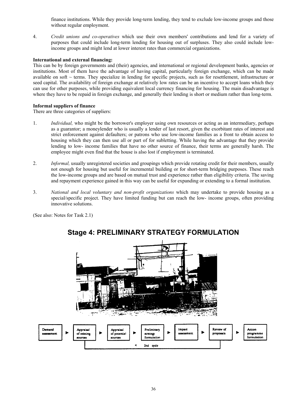finance institutions. While they provide long-term lending, they tend to exclude low-income groups and those without regular employment.

4. *Credit unions and co-operatives* which use their own members' contributions and lend for a variety of purposes that could include long-term lending for housing out of surpluses. They also could include lowincome groups and might lend at lower interest rates than commercial organizations.

#### **International and external financing:**

This can be by foreign governments and (their) agencies, and international or regional development banks, agencies or institutions. Most of them have the advantage of having capital, particularly foreign exchange, which can be made available on soft  $\sim$  terms. They specialize in lending for specific projects, such as for resettlement, infrastructure or seed capital. The availability of foreign exchange at relatively low rates can be an incentive to accept loans which they can use for other purposes, while providing equivalent local currency financing for housing. The main disadvantage is where they have to be repaid in foreign exchange, and generally their lending is short or medium rather than long-term.

#### **Informal suppliers of finance**

There are three categories of suppliers:

- 1. *Individual,* who might be the borrower's employer using own resources or acting as an intermediary, perhaps as a guarantor; a moneylender who is usually a lender of last resort, given the exorbitant rates of interest and strict enforcement against defaulters; or patrons who use low-income families as a front to obtain access to housing which they can then use all or part of for subletting. While having the advantage that they provide lending to low- income families that have no other source of finance, their terms are generally harsh. The employee might even find that the house is also lost if employment is terminated.
- 2. *Informal,* usually unregistered societies and groupings which provide rotating credit for their members, usually not enough for housing but useful for incremental building or for short-term bridging purposes. These reach the low-income groups and are based on mutual trust and experience rather than eligibility criteria. The saving and repayment experience gained in this way can be useful for expanding or extending to a formal institution.
- 3. *National and local voluntary and non-profit organizations* which may undertake to provide housing as a special/specific project. They have limited funding but can reach the low- income groups, often providing innovative solutions.

(See also: Notes for Task 2.1)



# **Stage 4: PRELIMINARY STRATEGY FORMULATION**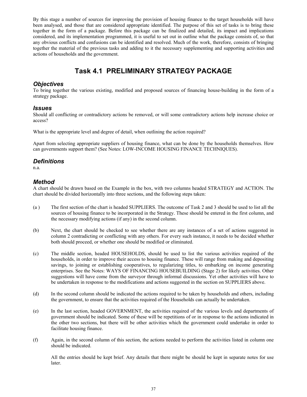By this stage a number of sources for improving the provision of housing finance to the target households will have been analysed, and those that are considered appropriate identified. The purpose of this set of tasks is to bring these together in the form of a package. Before this package can be finalized and detailed, its impact and implications considered, and its implementation programmed, it is useful to set out in outline what the package consists of, so that any obvious conflicts and confusions can be identified and resolved. Much of the work, therefore, consists of bringing together the material of the previous tasks and adding to it the necessary supplementing and supporting activities and actions of households and the government.

# **Task 4.1 PRELIMINARY STRATEGY PACKAGE**

# *Objectives*

To bring together the various existing, modified and proposed sources of financing house-building in the form of a strategy package.

### *Issues*

Should all conflicting or contradictory actions be removed, or will some contradictory actions help increase choice or access?

What is the appropriate level and degree of detail, when outlining the action required?

Apart from selecting appropriate suppliers of housing finance, what can be done by the households themselves. How can governments support them? (See Notes: LOW-INCOME HOUSING FINANCE TECHNIQUES).

## *Definitions*

n.a.

# *Method*

A chart should be drawn based on the Example in the box, with two columns headed STRATEGY and ACTION. The chart should be divided horizontally into three sections, and the following steps taken:

- (a ) The first section of the chart is headed SUPPLIERS. The outcome of Task 2 and 3 should be used to list all the sources of housing finance to be incorporated in the Strategy. These should be entered in the first column, and the necessary modifying actions (if any) in the second column.
- (b) Next, the chart should be checked to see whether there are any instances of a set of actions suggested in column 2 contradicting or conflicting with any others. For every such instance, it needs to be decided whether both should proceed, or whether one should be modified or eliminated.
- (c) The middle section, headed HOUSEHOLDS, should be used to list the various activities required of the households, in order to improve their access to housing finance. These will range from making and depositing savings, to joining or establishing cooperatives, to regularizing titles, to embarking on income generating enterprises. See the Notes: WAYS OF FINANCING HOUSEBUILDING (Stage 2) for likely activities. Other suggestions will have come from the surveyor through informal discussions. Yet other activities will have to be undertaken in response to the modifications and actions suggested in the section on SUPPLIERS above.
- (d) In the second column should be indicated the actions required to be taken by households and others, including the government, to ensure that the activities required of the Households can actually be undertaken.
- (e) In the last section, headed GOVERNMENT, the activities required of the various levels and departments of government should be indicated. Some of these will be repetitions of or in response to the actions indicated in the other two sections, but there will be other activities which the government could undertake in order to facilitate housing finance.
- (f) Again, in the second column of this section, the actions needed to perform the activities listed in column one should be indicated.

All the entries should be kept brief. Any details that there might be should be kept in separate notes for use later.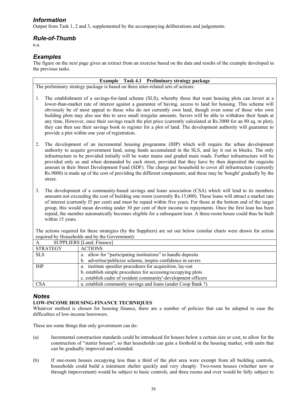# *Information*

Output from Task 1, 2 and 3, supplemented by the accompanying deliberations and judgements.

# *Rule-of-Thumb*

n.a.

# *Examples*

The figure on the next page gives an extract from an exercise based on the data and results of the example developed in the previous tasks.

|                                                                                                                      | Example Task 4.1 Preliminary strategy package                                                                                                                                                                                                                                                                                                                                                                                                                                                                                                                                                                                                                                                                                                           |  |  |  |  |  |
|----------------------------------------------------------------------------------------------------------------------|---------------------------------------------------------------------------------------------------------------------------------------------------------------------------------------------------------------------------------------------------------------------------------------------------------------------------------------------------------------------------------------------------------------------------------------------------------------------------------------------------------------------------------------------------------------------------------------------------------------------------------------------------------------------------------------------------------------------------------------------------------|--|--|--|--|--|
|                                                                                                                      | The preliminary strategy package is based on three inter-related sets of actions:                                                                                                                                                                                                                                                                                                                                                                                                                                                                                                                                                                                                                                                                       |  |  |  |  |  |
| 1.                                                                                                                   | The establishment of a savings-for-land scheme (SLS), whereby those that want housing plots can invest at a<br>lower-than-market rate of interest against a guarantee of having. access to land for housing. This scheme will<br>obviously be of most appeal to those who do not currently own land, though even some of those who own<br>building plots may also use this to save small irregular amounts. Savers will be able to withdraw their funds at<br>any time, However, once their savings reach the plot price (currently calculated at Rs.3000 for an 80 sq. m plot),<br>they can then use their savings book to register for a plot of land. The development authority will guarantee to<br>provide a plot within one year of registration. |  |  |  |  |  |
| 2.<br>street.                                                                                                        | The development of an incremental housing programme (IHP) which will require the urban development<br>authority to acquire government land, using funds accumulated in the SLS, and lay it out in blocks. The only<br>infrastructure to be provided initially will be water mains and graded main roads. Further infrastructure will be<br>provided only as and when demanded by each street, provided that they have by then deposited the requisite<br>amount in their Street Development Fund (SDF). The charge per household to cover all infrastructure (currently<br>Rs.9000) is made up of the cost of providing the different components, and these may be 'bought' gradually by the                                                            |  |  |  |  |  |
| 3.<br>within 15 years.                                                                                               | The development of a community-based savings and loans association (CSA) which will lend to its members<br>amounts not exceeding the cost of building one room (currently Rs.15,000). These loans will attract a market rate<br>of interest (currently 15 per cent) and must be repaid within five years. For those at the bottom end of the target<br>group, this would mean devoting under 30 per cent of their income to repayments. Once the first loan has been<br>repaid, the member automatically becomes eligible for a subsequent loan. A three-room house could thus be built                                                                                                                                                                 |  |  |  |  |  |
| The actions required for these strategies (by the Suppliers) are set out below (similar charts were drawn for action |                                                                                                                                                                                                                                                                                                                                                                                                                                                                                                                                                                                                                                                                                                                                                         |  |  |  |  |  |
|                                                                                                                      | required by Households and by the Government):                                                                                                                                                                                                                                                                                                                                                                                                                                                                                                                                                                                                                                                                                                          |  |  |  |  |  |
| A.                                                                                                                   | SUPPLIERS [Land; Finance]                                                                                                                                                                                                                                                                                                                                                                                                                                                                                                                                                                                                                                                                                                                               |  |  |  |  |  |
| <b>STRATEGY</b>                                                                                                      | <b>ACTIONS</b>                                                                                                                                                                                                                                                                                                                                                                                                                                                                                                                                                                                                                                                                                                                                          |  |  |  |  |  |
| CT C                                                                                                                 | ellow for "portioinating institutions" to handle deposits                                                                                                                                                                                                                                                                                                                                                                                                                                                                                                                                                                                                                                                                                               |  |  |  |  |  |

| <b>STRATEGY</b> | <b>ACTIONS</b>                                                 |  |  |  |
|-----------------|----------------------------------------------------------------|--|--|--|
| <b>SLS</b>      | a. allow for "participating institutions" to handle deposits   |  |  |  |
|                 | b. advertise/publicize scheme, inspire confidence in savers    |  |  |  |
| <b>IHP</b>      | a. institute speedier procedures for acquisition, lay-out      |  |  |  |
|                 | b. establish simple procedures for accessing/occupying plots   |  |  |  |
|                 | c. establish cadre of resident community'-development officers |  |  |  |
| <b>CSA</b>      | a. establish community savings and loans (under Coop Bank?)    |  |  |  |

# *Notes*

### **LOW-INCOME HOUSING-FINANCE TECHNIQUES**

Whatever method is chosen for housing finance, there are a number of policies that can be adopted to ease the difficulties of low-income borrowers.

These are some things that only government can do:

- (a) Incremental construction standards could be introduced for houses below a certain size or cost, to allow for the construction of "starter houses", so that households can gain a foothold in the housing market, with units that can be gradually improved and extended.
- (b) If one-room houses occupying less than a third of the plot area were exempt from all building controls, households could build a minimum shelter quickly and very cheaply. Two-room houses (whether new or through improvement) would be subject to basic controls, and three rooms and over would be fully subject to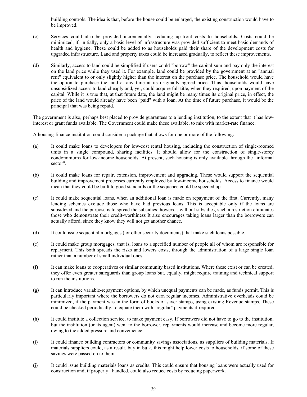building controls. The idea is that, before the house could be enlarged, the existing construction would have to be improved.

- (c) Services could also be provided incrementally, reducing up-front costs to households. Costs could be minimized, if, initially, only a basic level of infrastructure was provided sufficient to meet basic demands of health and hygiene. These could be added to as households paid their share of the development costs for upgraded infrastructure. Land and property taxes could be increased gradually, to reflect these improvements.
- (d) Similarly, access to land could be simplified if users could "borrow" the capital sum and pay only the interest on the land price while they used it. For example, land could be provided by the government at an "annual rent" equivalent to or only slightly higher than the interest on the purchase price. The household would have the option to purchase the land at any time at its originally agreed price. Thus, households would have unsubsidized access to land cheaply and, yet, could acquire full title, when they required, upon payment of the capital. While it is true that, at that future date, the land might be many times its original price, in effect, the price of the land would already have been "paid" with a loan. At the time of future purchase, it would be the principal that was being repaid.

The government is also, perhaps best placed to provide guarantees to a lending institution, to the extent that it has lowinterest or grant funds available. The Government could make these available, to mix with market-rate finance.

A housing-finance institution could consider a package that allows for one or more of the following:

- (a) It could make loans to developers for low-cost rental housing, including the construction of single-roomed units in a single compound, sharing facilities. It should allow for the construction of single-storey condominiums for low-income households. At present, such housing is only available through the "informal sector".
- (b) It could make loans for repair, extension, improvement and upgrading. These would support the sequential building and improvement processes currently employed by low-income households. Access to finance would mean that they could be built to good standards or the sequence could be speeded up.
- (c) It could make sequential loans, when an additional loan is made on repayment of the first. Currently, many lending schemes exclude those who have had previous loans. This is acceptable only if the loans are subsidized and the purpose is to spread the subsidies; however, without subsidies, such a restriction eliminates those who demonstrate their credit-worthiness It also encourages taking loans larger than the borrowers can actually afford, since they know they will not get another chance.
- (d) It could issue sequential mortgages ( or other security documents) that make such loans possible.
- (e) It could make group mortgages, that is, loans to a specified number of people all of whom are responsible for repayment. This both spreads the risks and lowers costs, through the administration of a large single loan rather than a number of small individual ones.
- (f) It can make loans to cooperatives or similar community based institutions. Where these exist or can be created, they offer even greater safeguards than group loans but, equally, might require training and technical support to run the institutions.
- (g) It can introduce variable-repayment options, by which unequal payments can be made, as funds permit. This is particularly important where the borrowers do not earn regular incomes. Administrative overheads could be minimized, if the payment was in the form of books of saver stamps, using existing Revenue stamps. These could be checked periodically, to equate them with "regular" payments if required.
- (h) It could institute a collection service, to make payment easy. If borrowers did not have to go to the institution, but the institution (or its agent) went to the borrower, repayments would increase and become more regular, owing to the added pressure and convenience.
- (i) It could finance building contractors or community savings associations, as suppliers of building materials. If materials suppliers could, as a result, buy in bulk, this might help lower costs to households, if some of these savings were passed on to them.
- (j) It could issue building materials loans as credits. This could ensure that housing loans were actually used for construction and, if properly : handled, could also reduce costs by reducing paperwork.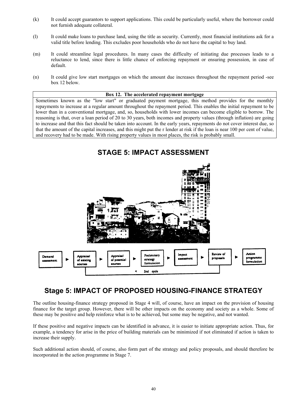- (k) It could accept guarantors to support applications. This could be particularly useful, where the borrower could not furnish adequate collateral.
- (l) It could make loans to purchase land, using the title as security. Currently, most financial institutions ask for a valid title before lending. This excludes poor households who do not have the capital to buy land.
- (m) It could streamline legal procedures. In many cases the difficulty of initiating due processes leads to a reluctance to lend, since there is little chance of enforcing repayment or ensuring possession, in case of default.
- (n) It could give low start mortgages on which the amount due increases throughout the repayment period -see box 12 below.

#### **Box 12. The accelerated repayment mortgage**

Sometimes known as the "low start" or graduated payment mortgage, this method provides for the monthly repayments to increase at a regular amount throughout the repayment period. This enables the initial repayment to be lower than in a conventional mortgage, and, so, households with lower incomes can become eligible to borrow. The reasoning is that, over a loan period of 20 to 30 years, both incomes and property values (through inflation) are going to increase and that this fact should be taken into account. In the early years, repayments do not cover interest due, so that the amount of the capital increases, and this might put the r lender at risk if the loan is near 100 per cent of value, and recovery had to be made. With rising property values in most places, the risk is probably small.



# **Stage 5: IMPACT OF PROPOSED HOUSING-FINANCE STRATEGY**

The outline housing-finance strategy proposed in Stage 4 will, of course, have an impact on the provision of housing finance for the target group. However, there will be other impacts on the economy and society as a whole. Some of these may be positive and help reinforce what is to be achieved, but some may be negative, and not wanted.

If these positive and negative impacts can be identified in advance, it is easier to initiate appropriate action. Thus, for example, a tendency for arise in the price of building materials can be minimized if not eliminated if action is taken to increase their supply.

Such additional action should, of course, also form part of the strategy and policy proposals, and should therefore be incorporated in the action programme in Stage 7.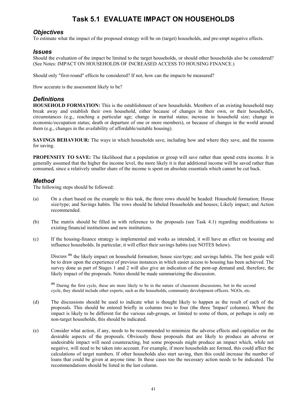# **Task 5.1 EVALUATE IMPACT ON HOUSEHOLDS**

# *Objectives*

To estimate what the impact of the proposed strategy will be on (target) households, and pre-empt negative effects.

## *Issues*

Should the evaluation of the impact be limited to the target households, or should other households also be considered? (See Notes: IMPACT ON HOUSEHOLDS OF INCREASED ACCESS TO HOUSING FINANCE.)

Should only "first-round" effects be considered? If not, how can the impacts be measured?

How accurate is the assessment likely to be?

# *Definitions*

**HOUSEHOLD FORMATION:** This is the establishment of new households. Members of an existing household may break away and establish their own household, either because of changes in their own, or their household's, circumstances (e.g., reaching a particular age; change in marital status; increase in household size; change in economic/occupation status; death or departure of one or more members), or because of changes in the world around them (e.g., changes in the availability of affordable/suitable housing).

**SAVINGS BEHAVIOUR:** The ways in which households save, including how and where they save, and the reasons for saving.

**PROPENSITY TO SAVE:** The likelihood that a population or group will save rather than spend extra income. It is generally assumed that the higher the income level, the more likely it is that additional income will be saved rather than consumed, since a relatively smaller share of the income is spent on absolute essentials which cannot be cut back.

# *Method*

The following steps should be followed:

- (a) On a chart based on the example to this task, the three rows should be headed: Household formation; House size/type; and Savings habits. The rows should be labeled Households and houses; Likely impact; and Action recommended.
- (b) The matrix should be filled in with reference to the proposals (see Task 4.1) regarding modifications to existing financial institutions and new institutions.
- (c) If the housing-finance strategy is implemented and works as intended, it will have an effect on housing and influence households. In particular, it will effect their savings habits (see NOTES below).

Discuss<sup>(6)</sup> the likely impact on household formation; house size/type; and savings habits. The best guide will be to draw upon the experience of previous instances in which easier access to housing has been achieved. The survey done as part of Stages 1 and 2 will also give an indication of the pent-up demand and, therefore, the likely impact of the proposals. Notes should be made summarizing the discussion.

**(6)** During the first cycle, these are more likely to be in the nature of classroom discussions, but in the second cycle, they should include other experts, such as the households, community development officers. NGOs, etc.

- (d) The discussions should be used to indicate what is thought likely to happen as the result of each of the proposals. This should be entered briefly in columns two to four (the three 'Impact' columns). Where the impact is likely to be different for the various sub-groups, or limited to some of them, or perhaps is only on non-target households, this should be indicated.
- (e) Consider what action, if any, needs to be recommended to minimize the adverse effects and capitalize on the desirable aspects of the proposals. Obviously those proposals that are likely to produce an adverse or undesirable impact will need counteracting, but some proposals might produce an impact which, while not negative, will need to be taken into account. For example, if more households are formed, this could affect the calculations of target numbers. If other households also start saving, then this could increase the number of loans that could be given at anyone time. In these cases too the necessary action needs to be indicated. The recommendations should be listed in the last column.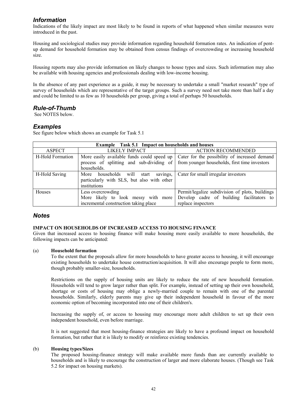# *Information*

Indications of the likely impact are most likely to be found in reports of what happened when similar measures were introduced in the past.

Housing and sociological studies may provide information regarding household formation rates. An indication of pentup demand for household formation may be obtained from census findings of overcrowding or increasing household size.

Housing reports may also provide information on likely changes to house types and sizes. Such information may also be available with housing agencies and professionals dealing with low-income housing.

In the absence of any past experience as a guide, it may be necessary to undertake a small "market research" type of survey of households which are representative of the target groups. Such a survey need not take more than half a day and could be limited to as few as 10 households per group, giving a total of perhaps 50 households.

# *Rule-of-Thumb*

See NOTES below.

# *Examples*

See figure below which shows an example for Task 5.1

|                  | <b>Example</b> Task 5.1 Impact on households and houses                                               |                                                                                                                    |  |  |  |
|------------------|-------------------------------------------------------------------------------------------------------|--------------------------------------------------------------------------------------------------------------------|--|--|--|
| <b>ASPECT</b>    | LIKELY IMPACT                                                                                         | <b>ACTION RECOMMENDED</b>                                                                                          |  |  |  |
| H-Hold Formation | More easily available funds could speed up<br>process of splitting and sub-dividing of<br>households. | Cater for the possibility of increased demand<br>from younger households, first time investors                     |  |  |  |
| H-Hold Saving    | More households will start<br>savings,<br>particularly with SLS, but also with other<br>institutions  | Cater for small irregular investors                                                                                |  |  |  |
| Houses           | Less overcrowding<br>More likely to look messy with more<br>incremental construction taking place     | Permit/legalize subdivision of plots, buildings<br>Develop cadre of building facilitators to<br>replace inspectors |  |  |  |

# *Notes*

#### **IMPACT ON HOUSEHOLDS OF INCREASED ACCESS TO HOUSING FINANCE**

Given that increased access to housing finance will make housing more easily available to more households, the following impacts can be anticipated:

#### (a) **Household formation**

To the extent that the proposals allow for more households to have greater access to housing, it will encourage existing households to undertake house construction/acquisition. It will also encourage people to form more, though probably smaller-size, households.

Restrictions on the supply of housing units are likely to reduce the rate of new household formation. Households will tend to grow larger rather than split. For example, instead of setting up their own household, shortage or costs of housing may oblige a newly-married couple to remain with one of the parental households. Similarly, elderly parents may give up their independent household in favour of the more economic option of becoming incorporated into one of their children's.

Increasing the supply of, or access to housing may encourage more adult children to set up their own independent household, even before marriage.

It is not suggested that most housing-finance strategies are likely to have a profound impact on household formation, but rather that it is likely to modify or reinforce existing tendencies.

#### (b) **Housing types/Sizes**

The proposed housing-finance strategy will make available more funds than are currently available to households and is likely to encourage the construction of larger and more elaborate houses. (Though see Task 5.2 for impact on housing markets).